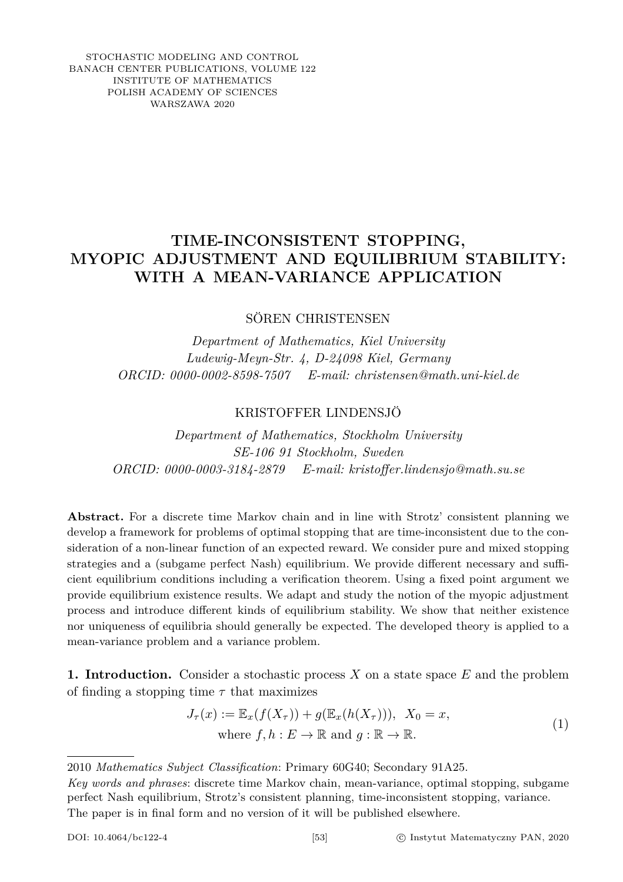STOCHASTIC MODELING AND CONTROL BANACH CENTER PUBLICATIONS, VOLUME 122 INSTITUTE OF MATHEMATICS POLISH ACADEMY OF SCIENCES WARSZAWA 2020

## **TIME-INCONSISTENT STOPPING, MYOPIC ADJUSTMENT AND EQUILIBRIUM STABILITY: WITH A MEAN-VARIANCE APPLICATION**

SÖREN CHRISTENSEN

*Department of Mathematics, Kiel University Ludewig-Meyn-Str. 4, D-24098 Kiel, Germany ORCID: 0000-0002-8598-7507 E-mail: christensen@math.uni-kiel.de*

## KRISTOFFER LINDENSJÖ

*Department of Mathematics, Stockholm University SE-106 91 Stockholm, Sweden ORCID: 0000-0003-3184-2879 E-mail: kristoffer.lindensjo@math.su.se*

**Abstract.** For a discrete time Markov chain and in line with Strotz' consistent planning we develop a framework for problems of optimal stopping that are time-inconsistent due to the consideration of a non-linear function of an expected reward. We consider pure and mixed stopping strategies and a (subgame perfect Nash) equilibrium. We provide different necessary and sufficient equilibrium conditions including a verification theorem. Using a fixed point argument we provide equilibrium existence results. We adapt and study the notion of the myopic adjustment process and introduce different kinds of equilibrium stability. We show that neither existence nor uniqueness of equilibria should generally be expected. The developed theory is applied to a mean-variance problem and a variance problem.

**1. Introduction.** Consider a stochastic process *X* on a state space *E* and the problem of finding a stopping time *τ* that maximizes

<span id="page-0-0"></span>
$$
J_{\tau}(x) := \mathbb{E}_x(f(X_{\tau})) + g(\mathbb{E}_x(h(X_{\tau}))), X_0 = x,
$$
  
where  $f, h : E \to \mathbb{R}$  and  $g : \mathbb{R} \to \mathbb{R}$ . (1)

<sup>2010</sup> *Mathematics Subject Classification*: Primary 60G40; Secondary 91A25.

*Key words and phrases*: discrete time Markov chain, mean-variance, optimal stopping, subgame perfect Nash equilibrium, Strotz's consistent planning, time-inconsistent stopping, variance. The paper is in final form and no version of it will be published elsewhere.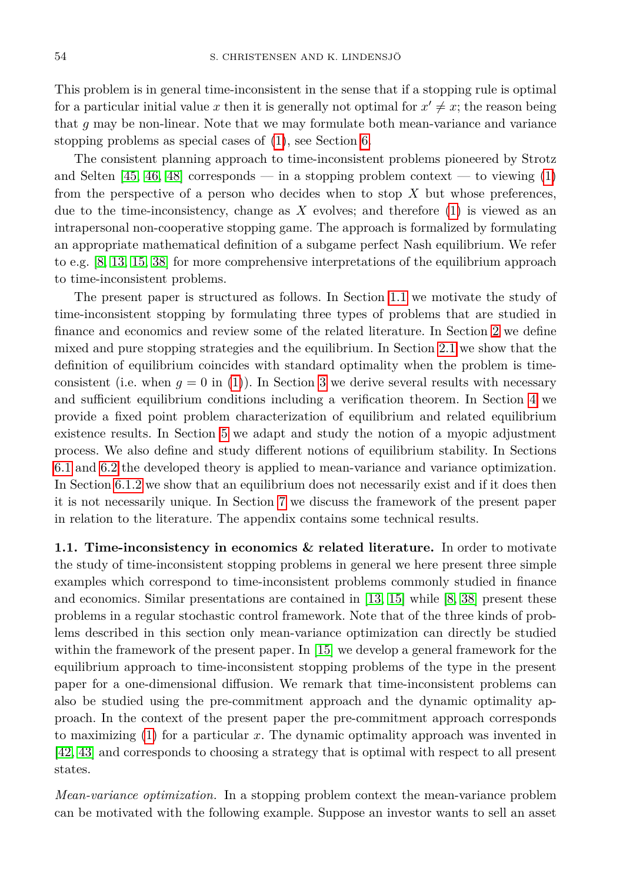This problem is in general time-inconsistent in the sense that if a stopping rule is optimal for a particular initial value x then it is generally not optimal for  $x' \neq x$ ; the reason being that *g* may be non-linear. Note that we may formulate both mean-variance and variance stopping problems as special cases of [\(1\)](#page-0-0), see Section [6.](#page-13-0)

The consistent planning approach to time-inconsistent problems pioneered by Strotz and Selten  $[45, 46, 48]$  $[45, 46, 48]$  $[45, 46, 48]$  corresponds — in a stopping problem context — to viewing  $(1)$ from the perspective of a person who decides when to stop *X* but whose preferences, due to the time-inconsistency, change as *X* evolves; and therefore [\(1\)](#page-0-0) is viewed as an intrapersonal non-cooperative stopping game. The approach is formalized by formulating an appropriate mathematical definition of a subgame perfect Nash equilibrium. We refer to e.g. [\[8,](#page-21-0) [13,](#page-22-0) [15,](#page-22-1) [38\]](#page-23-3) for more comprehensive interpretations of the equilibrium approach to time-inconsistent problems.

The present paper is structured as follows. In Section [1.1](#page-1-0) we motivate the study of time-inconsistent stopping by formulating three types of problems that are studied in finance and economics and review some of the related literature. In Section [2](#page-3-0) we define mixed and pure stopping strategies and the equilibrium. In Section [2.1](#page-5-0) we show that the definition of equilibrium coincides with standard optimality when the problem is timeconsistent (i.e. when  $q = 0$  in [\(1\)](#page-0-0)). In Section [3](#page-6-0) we derive several results with necessary and sufficient equilibrium conditions including a verification theorem. In Section [4](#page-9-0) we provide a fixed point problem characterization of equilibrium and related equilibrium existence results. In Section [5](#page-11-0) we adapt and study the notion of a myopic adjustment process. We also define and study different notions of equilibrium stability. In Sections [6.1](#page-13-1) and [6.2](#page-17-0) the developed theory is applied to mean-variance and variance optimization. In Section [6.1.2](#page-15-0) we show that an equilibrium does not necessarily exist and if it does then it is not necessarily unique. In Section [7](#page-19-0) we discuss the framework of the present paper in relation to the literature. The appendix contains some technical results.

<span id="page-1-0"></span>**1.1. Time-inconsistency in economics & related literature.** In order to motivate the study of time-inconsistent stopping problems in general we here present three simple examples which correspond to time-inconsistent problems commonly studied in finance and economics. Similar presentations are contained in [\[13,](#page-22-0) [15\]](#page-22-1) while [\[8,](#page-21-0) [38\]](#page-23-3) present these problems in a regular stochastic control framework. Note that of the three kinds of problems described in this section only mean-variance optimization can directly be studied within the framework of the present paper. In [\[15\]](#page-22-1) we develop a general framework for the equilibrium approach to time-inconsistent stopping problems of the type in the present paper for a one-dimensional diffusion. We remark that time-inconsistent problems can also be studied using the pre-commitment approach and the dynamic optimality approach. In the context of the present paper the pre-commitment approach corresponds to maximizing [\(1\)](#page-0-0) for a particular *x*. The dynamic optimality approach was invented in [\[42,](#page-23-4) [43\]](#page-23-5) and corresponds to choosing a strategy that is optimal with respect to all present states.

*Mean-variance optimization.* In a stopping problem context the mean-variance problem can be motivated with the following example. Suppose an investor wants to sell an asset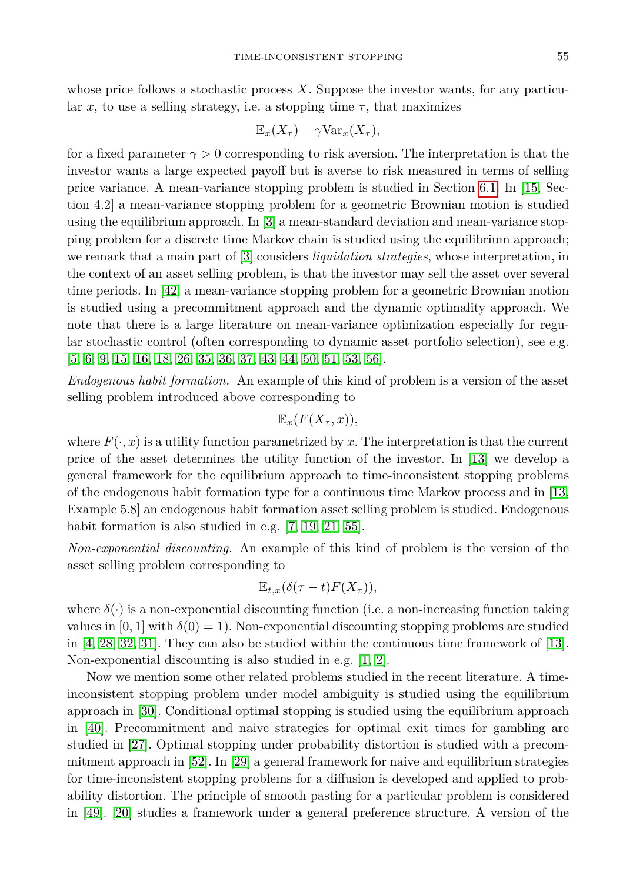whose price follows a stochastic process *X*. Suppose the investor wants, for any particular *x*, to use a selling strategy, i.e. a stopping time  $\tau$ , that maximizes

$$
\mathbb{E}_x(X_\tau) - \gamma \text{Var}_x(X_\tau),
$$

for a fixed parameter  $\gamma > 0$  corresponding to risk aversion. The interpretation is that the investor wants a large expected payoff but is averse to risk measured in terms of selling price variance. A mean-variance stopping problem is studied in Section [6.1.](#page-13-1) In [\[15,](#page-22-1) Section 4.2] a mean-variance stopping problem for a geometric Brownian motion is studied using the equilibrium approach. In [\[3\]](#page-21-1) a mean-standard deviation and mean-variance stopping problem for a discrete time Markov chain is studied using the equilibrium approach; we remark that a main part of [\[3\]](#page-21-1) considers *liquidation strategies*, whose interpretation, in the context of an asset selling problem, is that the investor may sell the asset over several time periods. In [\[42\]](#page-23-4) a mean-variance stopping problem for a geometric Brownian motion is studied using a precommitment approach and the dynamic optimality approach. We note that there is a large literature on mean-variance optimization especially for regular stochastic control (often corresponding to dynamic asset portfolio selection), see e.g. [\[5,](#page-21-2) [6,](#page-21-3) [9,](#page-21-4) [15,](#page-22-1) [16,](#page-22-2) [18,](#page-22-3) [26,](#page-22-4) [35,](#page-23-6) [36,](#page-23-7) [37,](#page-23-8) [43,](#page-23-5) [44,](#page-23-9) [50,](#page-23-10) [51,](#page-23-11) [53,](#page-23-12) [56\]](#page-23-13).

*Endogenous habit formation.* An example of this kind of problem is a version of the asset selling problem introduced above corresponding to

$$
\mathbb{E}_x(F(X_\tau,x)),
$$

where  $F(\cdot, x)$  is a utility function parametrized by x. The interpretation is that the current price of the asset determines the utility function of the investor. In [\[13\]](#page-22-0) we develop a general framework for the equilibrium approach to time-inconsistent stopping problems of the endogenous habit formation type for a continuous time Markov process and in [\[13,](#page-22-0) Example 5.8] an endogenous habit formation asset selling problem is studied. Endogenous habit formation is also studied in e.g. [\[7,](#page-21-5) [19,](#page-22-5) [21,](#page-22-6) [55\]](#page-23-14).

*Non-exponential discounting.* An example of this kind of problem is the version of the asset selling problem corresponding to

$$
\mathbb{E}_{t,x}(\delta(\tau-t)F(X_{\tau})),
$$

where  $\delta(\cdot)$  is a non-exponential discounting function (i.e. a non-increasing function taking values in  $[0, 1]$  with  $\delta(0) = 1$ ). Non-exponential discounting stopping problems are studied in [\[4,](#page-21-6) [28,](#page-22-7) [32,](#page-22-8) [31\]](#page-22-9). They can also be studied within the continuous time framework of [\[13\]](#page-22-0). Non-exponential discounting is also studied in e.g. [\[1,](#page-21-7) [2\]](#page-21-8).

Now we mention some other related problems studied in the recent literature. A timeinconsistent stopping problem under model ambiguity is studied using the equilibrium approach in [\[30\]](#page-22-10). Conditional optimal stopping is studied using the equilibrium approach in [\[40\]](#page-23-15). Precommitment and naive strategies for optimal exit times for gambling are studied in [\[27\]](#page-22-11). Optimal stopping under probability distortion is studied with a precommitment approach in [\[52\]](#page-23-16). In [\[29\]](#page-22-12) a general framework for naive and equilibrium strategies for time-inconsistent stopping problems for a diffusion is developed and applied to probability distortion. The principle of smooth pasting for a particular problem is considered in [\[49\]](#page-23-17). [\[20\]](#page-22-13) studies a framework under a general preference structure. A version of the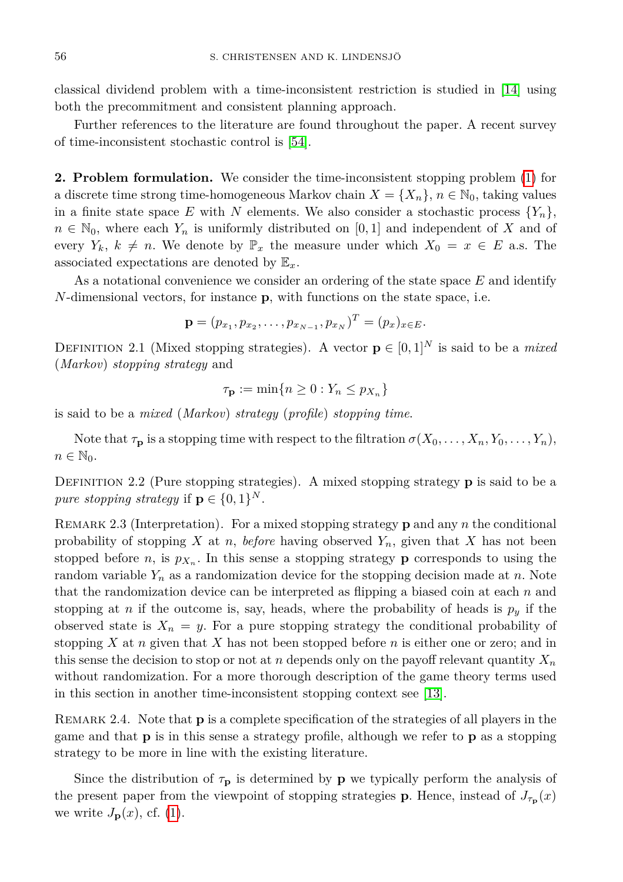classical dividend problem with a time-inconsistent restriction is studied in [\[14\]](#page-22-14) using both the precommitment and consistent planning approach.

Further references to the literature are found throughout the paper. A recent survey of time-inconsistent stochastic control is [\[54\]](#page-23-18).

<span id="page-3-0"></span>**2. Problem formulation.** We consider the time-inconsistent stopping problem [\(1\)](#page-0-0) for a discrete time strong time-homogeneous Markov chain  $X = \{X_n\}, n \in \mathbb{N}_0$ , taking values in a finite state space E with N elements. We also consider a stochastic process  $\{Y_n\}$ ,  $n \in \mathbb{N}_0$ , where each  $Y_n$  is uniformly distributed on [0,1] and independent of X and of every  $Y_k$ ,  $k \neq n$ . We denote by  $\mathbb{P}_x$  the measure under which  $X_0 = x \in E$  a.s. The associated expectations are denoted by E*x*.

As a notational convenience we consider an ordering of the state space *E* and identify *N*-dimensional vectors, for instance **p**, with functions on the state space, i.e.

$$
\mathbf{p} = (p_{x_1}, p_{x_2}, \dots, p_{x_{N-1}}, p_{x_N})^T = (p_x)_{x \in E}.
$$

DEFINITION 2.1 (Mixed stopping strategies). A vector  $\mathbf{p} \in [0,1]^N$  is said to be a *mixed* (*Markov*) *stopping strategy* and

$$
\tau_{\mathbf{p}} := \min\{n \ge 0 : Y_n \le p_{X_n}\}\
$$

is said to be a *mixed* (*Markov*) *strategy* (*profile*) *stopping time*.

Note that  $\tau_p$  is a stopping time with respect to the filtration  $\sigma(X_0, \ldots, X_n, Y_0, \ldots, Y_n)$ ,  $n \in \mathbb{N}_0$ .

DEFINITION 2.2 (Pure stopping strategies). A mixed stopping strategy **p** is said to be a *pure stopping strategy* if  $\mathbf{p} \in \{0,1\}^N$ .

Remark 2.3 (Interpretation). For a mixed stopping strategy **p** and any *n* the conditional probability of stopping *X* at *n*, *before* having observed  $Y_n$ , given that *X* has not been stopped before *n*, is  $p_{X_n}$ . In this sense a stopping strategy **p** corresponds to using the random variable *Y<sup>n</sup>* as a randomization device for the stopping decision made at *n*. Note that the randomization device can be interpreted as flipping a biased coin at each *n* and stopping at *n* if the outcome is, say, heads, where the probability of heads is  $p_y$  if the observed state is  $X_n = y$ . For a pure stopping strategy the conditional probability of stopping *X* at *n* given that *X* has not been stopped before *n* is either one or zero; and in this sense the decision to stop or not at *n* depends only on the payoff relevant quantity  $X_n$ without randomization. For a more thorough description of the game theory terms used in this section in another time-inconsistent stopping context see [\[13\]](#page-22-0).

Remark 2.4. Note that **p** is a complete specification of the strategies of all players in the game and that **p** is in this sense a strategy profile, although we refer to **p** as a stopping strategy to be more in line with the existing literature.

<span id="page-3-1"></span>Since the distribution of  $\tau_{\mathbf{p}}$  is determined by **p** we typically perform the analysis of the present paper from the viewpoint of stopping strategies **p**. Hence, instead of  $J_{\tau_{\mathbf{p}}}(x)$ we write  $J_{\mathbf{p}}(x)$ , cf. [\(1\)](#page-0-0).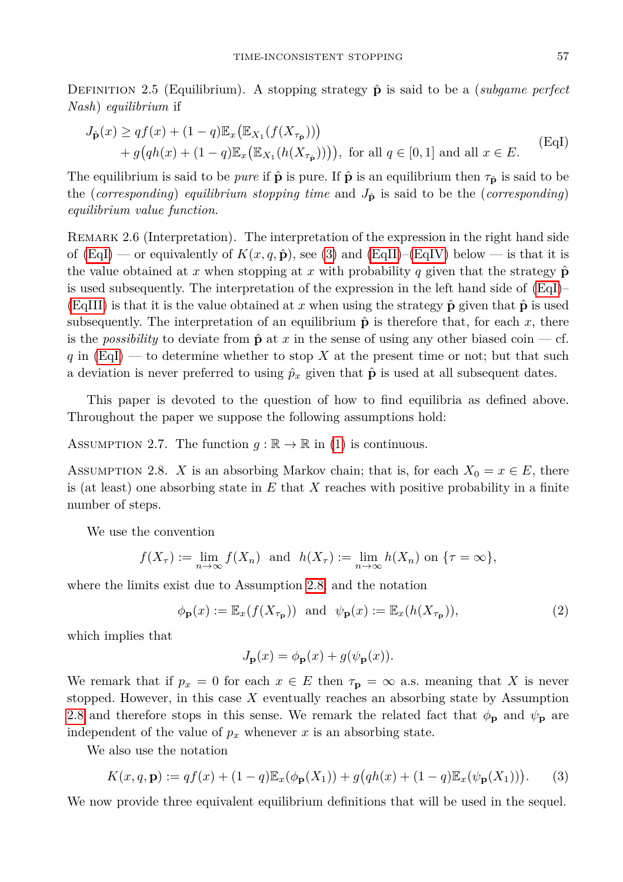DEFINITION 2.5 (Equilibrium). A stopping strategy  $\hat{\bf{p}}$  is said to be a (*subgame perfect Nash*) *equilibrium* if

$$
J_{\hat{\mathbf{p}}}(x) \geq qf(x) + (1-q)\mathbb{E}_x(\mathbb{E}_{X_1}(f(X_{\tau_{\hat{\mathbf{p}}}})))
$$
  
+  $q(qh(x) + (1-q)\mathbb{E}_x(\mathbb{E}_{X_1}(h(X_{\tau_{\hat{\mathbf{p}}}}))))$ , for all  $q \in [0,1]$  and all  $x \in E$ . (EqI)

The equilibrium is said to be *pure* if  $\hat{\mathbf{p}}$  is pure. If  $\hat{\mathbf{p}}$  is an equilibrium then  $\tau_{\hat{\mathbf{p}}}$  is said to be the (*corresponding*) *equilibrium stopping time* and  $J_{\hat{p}}$  is said to be the (*corresponding*) *equilibrium value function*.

REMARK 2.6 (Interpretation). The interpretation of the expression in the right hand side of  $(EqI)$  — or equivalently of  $K(x, q, \hat{\mathbf{p}})$ , see [\(3\)](#page-4-0) and  $(EqII)$ –[\(EqIV\)](#page-4-1) below — is that it is the value obtained at *x* when stopping at *x* with probability *q* given that the strategy  $\hat{p}$ is used subsequently. The interpretation of the expression in the left hand side of  $(EqI)$ – [\(EqIII\)](#page-4-1) is that it is the value obtained at x when using the strategy  $\hat{\mathbf{p}}$  given that  $\hat{\mathbf{p}}$  is used subsequently. The interpretation of an equilibrium  $\hat{\mathbf{p}}$  is therefore that, for each x, there is the *possibility* to deviate from  $\hat{\mathbf{p}}$  at *x* in the sense of using any other biased coin — cf. *q* in [\(EqI\)](#page-3-1) — to determine whether to stop *X* at the present time or not; but that such a deviation is never preferred to using  $\hat{p}_x$  given that  $\hat{p}$  is used at all subsequent dates.

This paper is devoted to the question of how to find equilibria as defined above. Throughout the paper we suppose the following assumptions hold:

<span id="page-4-4"></span>ASSUMPTION 2.7. The function  $g : \mathbb{R} \to \mathbb{R}$  in [\(1\)](#page-0-0) is continuous.

<span id="page-4-2"></span>ASSUMPTION 2.8. *X* is an absorbing Markov chain; that is, for each  $X_0 = x \in E$ , there is (at least) one absorbing state in *E* that *X* reaches with positive probability in a finite number of steps.

We use the convention

$$
f(X_{\tau}) := \lim_{n \to \infty} f(X_n) \text{ and } h(X_{\tau}) := \lim_{n \to \infty} h(X_n) \text{ on } \{\tau = \infty\},\
$$

where the limits exist due to Assumption [2.8,](#page-4-2) and the notation

$$
\phi_{\mathbf{p}}(x) := \mathbb{E}_x(f(X_{\tau_{\mathbf{p}}})) \text{ and } \psi_{\mathbf{p}}(x) := \mathbb{E}_x(h(X_{\tau_{\mathbf{p}}})),
$$
\n(2)

which implies that

<span id="page-4-3"></span><span id="page-4-0"></span>
$$
J_{\mathbf{p}}(x) = \phi_{\mathbf{p}}(x) + g(\psi_{\mathbf{p}}(x)).
$$

We remark that if  $p_x = 0$  for each  $x \in E$  then  $\tau_p = \infty$  a.s. meaning that X is never stopped. However, in this case *X* eventually reaches an absorbing state by Assumption [2.8](#page-4-2) and therefore stops in this sense. We remark the related fact that  $\phi_{\bf p}$  and  $\psi_{\bf p}$  are independent of the value of  $p_x$  whenever  $x$  is an absorbing state.

We also use the notation

$$
K(x, q, \mathbf{p}) := qf(x) + (1 - q)\mathbb{E}_x(\phi_{\mathbf{p}}(X_1)) + g(qh(x) + (1 - q)\mathbb{E}_x(\psi_{\mathbf{p}}(X_1))).
$$
 (3)

<span id="page-4-1"></span>We now provide three equivalent equilibrium definitions that will be used in the sequel.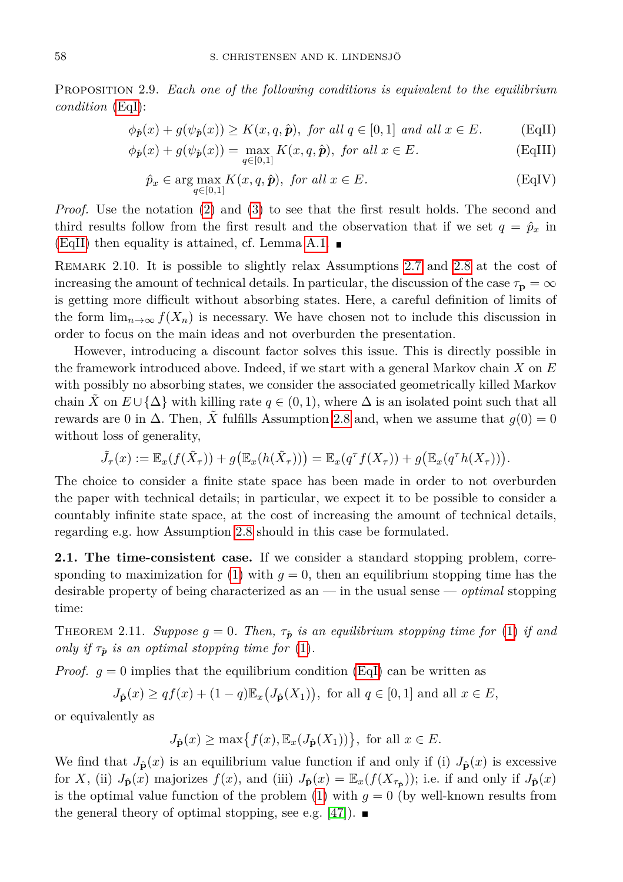Proposition 2.9. *Each one of the following conditions is equivalent to the equilibrium condition* [\(EqI\)](#page-3-1):

$$
\phi_{\hat{\mathbf{p}}}(x) + g(\psi_{\hat{\mathbf{p}}}(x)) \ge K(x, q, \hat{\mathbf{p}}), \text{ for all } q \in [0, 1] \text{ and all } x \in E. \tag{EqII}
$$

$$
\phi_{\hat{\mathbf{p}}}(x) + g(\psi_{\hat{\mathbf{p}}}(x)) = \max_{q \in [0,1]} K(x, q, \hat{\mathbf{p}}), \text{ for all } x \in E.
$$
 (EqIII)

$$
\hat{p}_x \in \arg\max_{q \in [0,1]} K(x,q,\hat{\boldsymbol{p}}), \text{ for all } x \in E. \tag{EqIV}
$$

*Proof.* Use the notation [\(2\)](#page-4-3) and [\(3\)](#page-4-0) to see that the first result holds. The second and third results follow from the first result and the observation that if we set  $q = \hat{p}_x$  in [\(EqII\)](#page-4-1) then equality is attained, cf. Lemma [A.1.](#page-20-0)  $\blacksquare$ 

Remark 2.10. It is possible to slightly relax Assumptions [2.7](#page-4-4) and [2.8](#page-4-2) at the cost of increasing the amount of technical details. In particular, the discussion of the case  $\tau_{\bf p} = \infty$ is getting more difficult without absorbing states. Here, a careful definition of limits of the form  $\lim_{n\to\infty} f(X_n)$  is necessary. We have chosen not to include this discussion in order to focus on the main ideas and not overburden the presentation.

However, introducing a discount factor solves this issue. This is directly possible in the framework introduced above. Indeed, if we start with a general Markov chain *X* on *E* with possibly no absorbing states, we consider the associated geometrically killed Markov chain *X* on  $E \cup {\Delta}$  with killing rate  $q \in (0,1)$ , where  $\Delta$  is an isolated point such that all rewards are 0 in  $\Delta$ . Then,  $\tilde{X}$  fulfills Assumption [2.8](#page-4-2) and, when we assume that  $g(0) = 0$ without loss of generality,

$$
\tilde{J}_{\tau}(x) := \mathbb{E}_x(f(\tilde{X}_{\tau})) + g(\mathbb{E}_x(h(\tilde{X}_{\tau}))) = \mathbb{E}_x(q^{\tau}f(X_{\tau})) + g(\mathbb{E}_x(q^{\tau}h(X_{\tau}))).
$$

The choice to consider a finite state space has been made in order to not overburden the paper with technical details; in particular, we expect it to be possible to consider a countably infinite state space, at the cost of increasing the amount of technical details, regarding e.g. how Assumption [2.8](#page-4-2) should in this case be formulated.

<span id="page-5-0"></span>**2.1. The time-consistent case.** If we consider a standard stopping problem, corre-sponding to maximization for [\(1\)](#page-0-0) with  $q = 0$ , then an equilibrium stopping time has the desirable property of being characterized as an — in the usual sense — *optimal* stopping time:

<span id="page-5-1"></span>THEOREM 2.11. *Suppose*  $g = 0$ . Then,  $\tau_{\hat{p}}$  is an equilibrium stopping time for [\(1\)](#page-0-0) if and *only if*  $\tau_{\hat{p}}$  *is an optimal stopping time for* [\(1\)](#page-0-0).

*Proof.*  $g = 0$  implies that the equilibrium condition [\(EqI\)](#page-3-1) can be written as

$$
J_{\hat{\mathbf{p}}}(x) \geq qf(x) + (1-q)\mathbb{E}_x\big(J_{\hat{\mathbf{p}}}(X_1)\big), \text{ for all } q \in [0,1] \text{ and all } x \in E,
$$

or equivalently as

$$
J_{\hat{\mathbf{p}}}(x) \ge \max\{f(x), \mathbb{E}_x(J_{\hat{\mathbf{p}}}(X_1))\}, \text{ for all } x \in E.
$$

We find that  $J_{\hat{\mathbf{p}}}(x)$  is an equilibrium value function if and only if (i)  $J_{\hat{\mathbf{p}}}(x)$  is excessive for *X*, (ii)  $J_{\hat{\mathbf{p}}}(x)$  majorizes  $f(x)$ , and (iii)  $J_{\hat{\mathbf{p}}}(x) = \mathbb{E}_x(f(X_{\tau_{\hat{\mathbf{p}}}}))$ ; i.e. if and only if  $J_{\hat{\mathbf{p}}}(x)$ is the optimal value function of the problem  $(1)$  with  $g = 0$  (by well-known results from the general theory of optimal stopping, see e.g. [\[47\]](#page-23-19)).  $\blacksquare$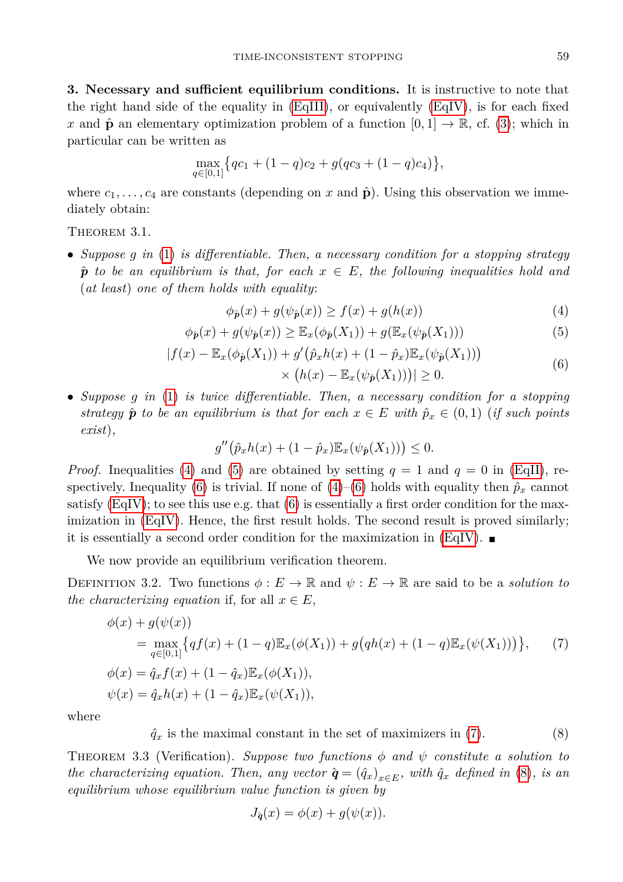<span id="page-6-3"></span><span id="page-6-2"></span><span id="page-6-1"></span>

<span id="page-6-0"></span>**3. Necessary and sufficient equilibrium conditions.** It is instructive to note that the right hand side of the equality in  $(EqIII)$ , or equivalently  $(EqIV)$ , is for each fixed *x* and  $\hat{\mathbf{p}}$  an elementary optimization problem of a function  $[0,1] \rightarrow \mathbb{R}$ , cf. [\(3\)](#page-4-0); which in particular can be written as

$$
\max_{q \in [0,1]} \{ qc_1 + (1-q)c_2 + g(qc_3 + (1-q)c_4) \},\
$$

where  $c_1, \ldots, c_4$  are constants (depending on x and  $\hat{\mathbf{p}}$ ). Using this observation we immediately obtain:

<span id="page-6-6"></span>THEOREM 3.1.

• *Suppose g in* [\(1\)](#page-0-0) *is differentiable. Then, a necessary condition for a stopping strategy*  $\hat{p}$  *to be an equilibrium is that, for each*  $x \in E$ *, the following inequalities hold and* (*at least*) *one of them holds with equality*:

$$
\phi_{\hat{p}}(x) + g(\psi_{\hat{p}}(x)) \ge f(x) + g(h(x))\tag{4}
$$

$$
\phi_{\hat{\mathbf{p}}}(x) + g(\psi_{\hat{\mathbf{p}}}(x)) \ge \mathbb{E}_x(\phi_{\hat{\mathbf{p}}}(X_1)) + g(\mathbb{E}_x(\psi_{\hat{\mathbf{p}}}(X_1)))
$$
\n(5)

$$
|f(x) - \mathbb{E}_x(\phi_{\hat{p}}(X_1)) + g'(\hat{p}_x h(x) + (1 - \hat{p}_x) \mathbb{E}_x(\psi_{\hat{p}}(X_1)))
$$
  
 
$$
\times (h(x) - \mathbb{E}_x(\psi_{\hat{p}}(X_1)))| \ge 0.
$$
 (6)

• *Suppose g in* [\(1\)](#page-0-0) *is twice differentiable. Then, a necessary condition for a stopping strategy*  $\hat{\boldsymbol{p}}$  *to be an equilibrium is that for each*  $x \in E$  *with*  $\hat{p}_x \in (0,1)$  (*if such points exist*)*,*

$$
g''(\hat{p}_x h(x) + (1 - \hat{p}_x) \mathbb{E}_x(\psi_{\hat{p}}(X_1))) \leq 0.
$$

*Proof.* Inequalities [\(4\)](#page-6-1) and [\(5\)](#page-6-2) are obtained by setting  $q = 1$  and  $q = 0$  in [\(EqII\)](#page-4-1), re-spectively. Inequality [\(6\)](#page-6-3) is trivial. If none of  $(4)$ – $(6)$  holds with equality then  $\hat{p}_x$  cannot satisfy  $(EqIV)$ ; to see this use e.g. that  $(6)$  is essentially a first order condition for the maximization in [\(EqIV\)](#page-4-1). Hence, the first result holds. The second result is proved similarly; it is essentially a second order condition for the maximization in [\(EqIV\)](#page-4-1).  $\blacksquare$ 

We now provide an equilibrium verification theorem.

DEFINITION 3.2. Two functions  $\phi : E \to \mathbb{R}$  and  $\psi : E \to \mathbb{R}$  are said to be a *solution to the characterizing equation* if, for all  $x \in E$ ,

$$
\phi(x) + g(\psi(x))
$$
\n
$$
= \max_{q \in [0,1]} \{ qf(x) + (1-q) \mathbb{E}_x(\phi(X_1)) + g(qh(x) + (1-q) \mathbb{E}_x(\psi(X_1))) \},
$$
\n
$$
\phi(x) = \hat{q}_x f(x) + (1 - \hat{q}_x) \mathbb{E}_x(\phi(X_1)),
$$
\n
$$
\psi(x) = \hat{q}_x h(x) + (1 - \hat{q}_x) \mathbb{E}_x(\psi(X_1)),
$$
\n(7)

<span id="page-6-5"></span>where

 $\hat{q}_x$  is the maximal constant in the set of maximizers in [\(7\)](#page-6-4). (8)

THEOREM 3.3 (Verification). *Suppose two functions*  $\phi$  *and*  $\psi$  *constitute a solution to the characterizing equation. Then, any vector*  $\hat{\mathbf{q}} = (\hat{q}_x)_{x \in E}$ , with  $\hat{q}_x$  *defined in* [\(8\)](#page-6-5)*, is an equilibrium whose equilibrium value function is given by*

<span id="page-6-4"></span>
$$
J_{\hat{q}}(x) = \phi(x) + g(\psi(x)).
$$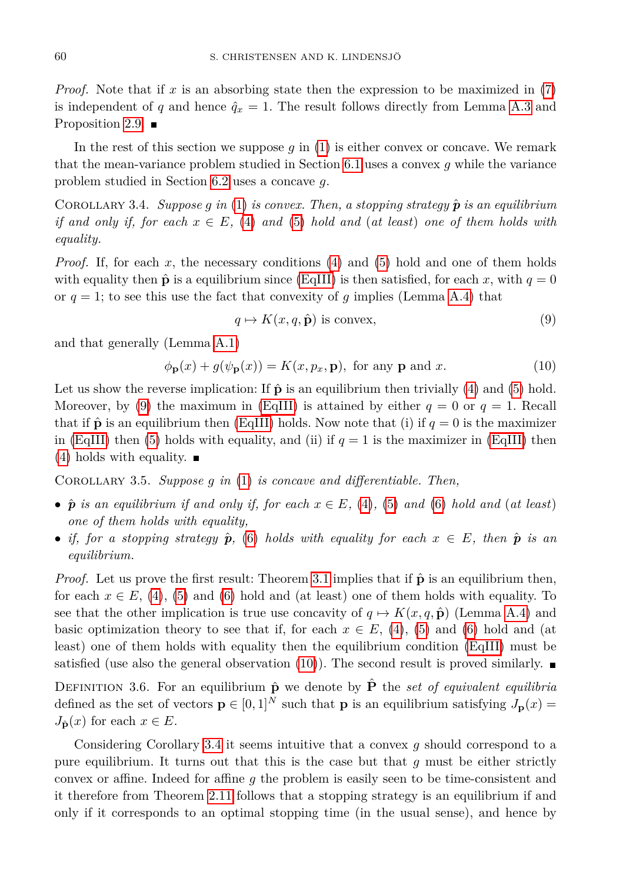*Proof.* Note that if *x* is an absorbing state then the expression to be maximized in [\(7\)](#page-6-4) is independent of *q* and hence  $\hat{q}_x = 1$ . The result follows directly from Lemma [A.3](#page-20-1) and Proposition [2.9.](#page-4-1)  $\blacksquare$ 

In the rest of this section we suppose *g* in [\(1\)](#page-0-0) is either convex or concave. We remark that the mean-variance problem studied in Section [6.1](#page-13-1) uses a convex *g* while the variance problem studied in Section [6.2](#page-17-0) uses a concave *g*.

<span id="page-7-2"></span>COROLLARY 3.4. *Suppose g* in [\(1\)](#page-0-0) is convex. Then, a stopping strategy  $\hat{p}$  is an equilibrium *if and only if, for each*  $x \in E$ , [\(4\)](#page-6-1) *and* [\(5\)](#page-6-2) *hold and* (*at least*) *one of them holds with equality.*

*Proof.* If, for each x, the necessary conditions [\(4\)](#page-6-1) and [\(5\)](#page-6-2) hold and one of them holds with equality then  $\hat{\mathbf{p}}$  is a equilibrium since [\(EqIII\)](#page-4-1) is then satisfied, for each *x*, with  $q = 0$ or  $q = 1$ ; to see this use the fact that convexity of  $q$  implies (Lemma [A.4\)](#page-21-9) that

<span id="page-7-1"></span><span id="page-7-0"></span>
$$
q \mapsto K(x, q, \hat{\mathbf{p}}) \text{ is convex},\tag{9}
$$

and that generally (Lemma [A.1\)](#page-20-0)

$$
\phi_{\mathbf{p}}(x) + g(\psi_{\mathbf{p}}(x)) = K(x, p_x, \mathbf{p}), \text{ for any } \mathbf{p} \text{ and } x. \tag{10}
$$

Let us show the reverse implication: If  $\hat{\mathbf{p}}$  is an equilibrium then trivially [\(4\)](#page-6-1) and [\(5\)](#page-6-2) hold. Moreover, by [\(9\)](#page-7-0) the maximum in [\(EqIII\)](#page-4-1) is attained by either  $q = 0$  or  $q = 1$ . Recall that if  $\hat{\mathbf{p}}$  is an equilibrium then [\(EqIII\)](#page-4-1) holds. Now note that (i) if  $q = 0$  is the maximizer in [\(EqIII\)](#page-4-1) then [\(5\)](#page-6-2) holds with equality, and (ii) if  $q = 1$  is the maximizer in (EqIII) then  $(4)$  holds with equality.  $\blacksquare$ 

<span id="page-7-3"></span>Corollary 3.5. *Suppose g in* [\(1\)](#page-0-0) *is concave and differentiable. Then,*

- $\hat{p}$  *is an equilibrium if and only if, for each*  $x \in E$ *,* [\(4\)](#page-6-1)*,* [\(5\)](#page-6-2) *and* [\(6\)](#page-6-3) *hold and* (*at least*) *one of them holds with equality,*
- *if, for a stopping strategy*  $\hat{p}$ , [\(6\)](#page-6-3) *holds with equality for each*  $x \in E$ *, then*  $\hat{p}$  *is an equilibrium.*

*Proof.* Let us prove the first result: Theorem [3.1](#page-6-6) implies that if  $\hat{p}$  is an equilibrium then, for each  $x \in E$ , [\(4\)](#page-6-1), [\(5\)](#page-6-2) and [\(6\)](#page-6-3) hold and (at least) one of them holds with equality. To see that the other implication is true use concavity of  $q \mapsto K(x, q, \hat{p})$  (Lemma [A.4\)](#page-21-9) and basic optimization theory to see that if, for each  $x \in E$ , [\(4\)](#page-6-1), [\(5\)](#page-6-2) and [\(6\)](#page-6-3) hold and (at least) one of them holds with equality then the equilibrium condition [\(EqIII\)](#page-4-1) must be satisfied (use also the general observation [\(10\)](#page-7-1)). The second result is proved similarly.

DEFINITION 3.6. For an equilibrium  $\hat{\mathbf{p}}$  we denote by  $\hat{\mathbf{P}}$  the *set of equivalent equilibria* defined as the set of vectors  $\mathbf{p} \in [0,1]^N$  such that **p** is an equilibrium satisfying  $J_{\mathbf{p}}(x) =$  $J_{\hat{\mathbf{p}}}(x)$  for each  $x \in E$ .

Considering Corollary [3.4](#page-7-2) it seems intuitive that a convex *g* should correspond to a pure equilibrium. It turns out that this is the case but that *g* must be either strictly convex or affine. Indeed for affine *g* the problem is easily seen to be time-consistent and it therefore from Theorem [2.11](#page-5-1) follows that a stopping strategy is an equilibrium if and only if it corresponds to an optimal stopping time (in the usual sense), and hence by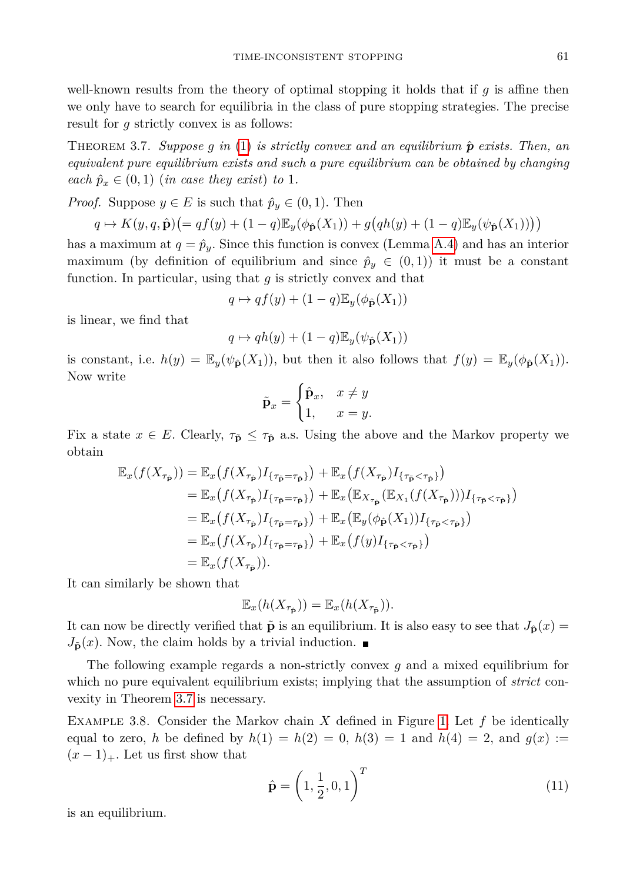well-known results from the theory of optimal stopping it holds that if *g* is affine then we only have to search for equilibria in the class of pure stopping strategies. The precise result for *g* strictly convex is as follows:

<span id="page-8-0"></span>THEOREM 3.7. *Suppose q in* [\(1\)](#page-0-0) *is strictly convex and an equilibrium*  $\hat{p}$  *exists. Then, an equivalent pure equilibrium exists and such a pure equilibrium can be obtained by changing each*  $\hat{p}_x \in (0,1)$  (*in case they exist*) *to* 1*.* 

*Proof.* Suppose  $y \in E$  is such that  $\hat{p}_y \in (0,1)$ . Then

$$
q \mapsto K(y, q, \hat{\mathbf{p}}) \big(= q f(y) + (1-q) \mathbb{E}_y(\phi_{\hat{\mathbf{p}}}(X_1)) + g(q h(y) + (1-q) \mathbb{E}_y(\psi_{\hat{\mathbf{p}}}(X_1)))\big)
$$

has a maximum at  $q = \hat{p}_y$ . Since this function is convex (Lemma [A.4\)](#page-21-9) and has an interior maximum (by definition of equilibrium and since  $\hat{p}_y \in (0,1)$ ) it must be a constant function. In particular, using that *g* is strictly convex and that

$$
q \mapsto qf(y) + (1-q)\mathbb{E}_y(\phi_{\hat{\mathbf{p}}}(X_1))
$$

is linear, we find that

$$
q \mapsto qh(y) + (1-q)\mathbb{E}_y(\psi_{\hat{\mathbf{p}}}(X_1))
$$

is constant, i.e.  $h(y) = \mathbb{E}_y(\psi_{\hat{\mathbf{p}}}(X_1))$ , but then it also follows that  $f(y) = \mathbb{E}_y(\phi_{\hat{\mathbf{p}}}(X_1))$ . Now write

$$
\tilde{\mathbf{p}}_x = \begin{cases} \hat{\mathbf{p}}_x, & x \neq y \\ 1, & x = y. \end{cases}
$$

Fix a state  $x \in E$ . Clearly,  $\tau_{\tilde{p}} \leq \tau_{\hat{p}}$  a.s. Using the above and the Markov property we obtain

$$
\mathbb{E}_x(f(X_{\tau_{\hat{\mathbf{p}}}})) = \mathbb{E}_x(f(X_{\tau_{\hat{\mathbf{p}}}})I_{\{\tau_{\hat{\mathbf{p}}} = \tau_{\hat{\mathbf{p}}}\}}) + \mathbb{E}_x(f(X_{\tau_{\hat{\mathbf{p}}}})I_{\{\tau_{\hat{\mathbf{p}}} < \tau_{\hat{\mathbf{p}}}\}})
$$
\n
$$
= \mathbb{E}_x(f(X_{\tau_{\hat{\mathbf{p}}}})I_{\{\tau_{\hat{\mathbf{p}}} = \tau_{\hat{\mathbf{p}}}\}}) + \mathbb{E}_x(\mathbb{E}_{X_{\tau_{\hat{\mathbf{p}}}}}(\mathbb{E}_{X_1}(f(X_{\tau_{\hat{\mathbf{p}}}})))I_{\{\tau_{\hat{\mathbf{p}}} < \tau_{\hat{\mathbf{p}}}\}})
$$
\n
$$
= \mathbb{E}_x(f(X_{\tau_{\hat{\mathbf{p}}}})I_{\{\tau_{\hat{\mathbf{p}}} = \tau_{\hat{\mathbf{p}}}\}}) + \mathbb{E}_x(\mathbb{E}_y(\phi_{\hat{\mathbf{p}}}(X_1))I_{\{\tau_{\hat{\mathbf{p}}} < \tau_{\hat{\mathbf{p}}}\}})
$$
\n
$$
= \mathbb{E}_x(f(X_{\tau_{\hat{\mathbf{p}}}})I_{\{\tau_{\hat{\mathbf{p}}} = \tau_{\hat{\mathbf{p}}}\}}) + \mathbb{E}_x(f(y)I_{\{\tau_{\hat{\mathbf{p}}} < \tau_{\hat{\mathbf{p}}}\}})
$$
\n
$$
= \mathbb{E}_x(f(X_{\tau_{\hat{\mathbf{p}}}})).
$$

It can similarly be shown that

$$
\mathbb{E}_x(h(X_{\tau_{\hat{\mathbf{p}}}})) = \mathbb{E}_x(h(X_{\tau_{\tilde{\mathbf{p}}}})).
$$

It can now be directly verified that  $\tilde{\mathbf{p}}$  is an equilibrium. It is also easy to see that  $J_{\hat{\mathbf{p}}}(x)$  $J_{\tilde{\mathbf{p}}}(x)$ . Now, the claim holds by a trivial induction.

The following example regards a non-strictly convex *g* and a mixed equilibrium for which no pure equivalent equilibrium exists; implying that the assumption of *strict* convexity in Theorem [3.7](#page-8-0) is necessary.

<span id="page-8-2"></span>Example 3.8. Consider the Markov chain *X* defined in Figure [1.](#page-8-1) Let *f* be identically equal to zero, *h* be defined by  $h(1) = h(2) = 0$ ,  $h(3) = 1$  and  $h(4) = 2$ , and  $g(x) :=$  $(x-1)_+$ . Let us first show that

<span id="page-8-3"></span>
$$
\hat{\mathbf{p}} = \left(1, \frac{1}{2}, 0, 1\right)^T \tag{11}
$$

<span id="page-8-1"></span>is an equilibrium.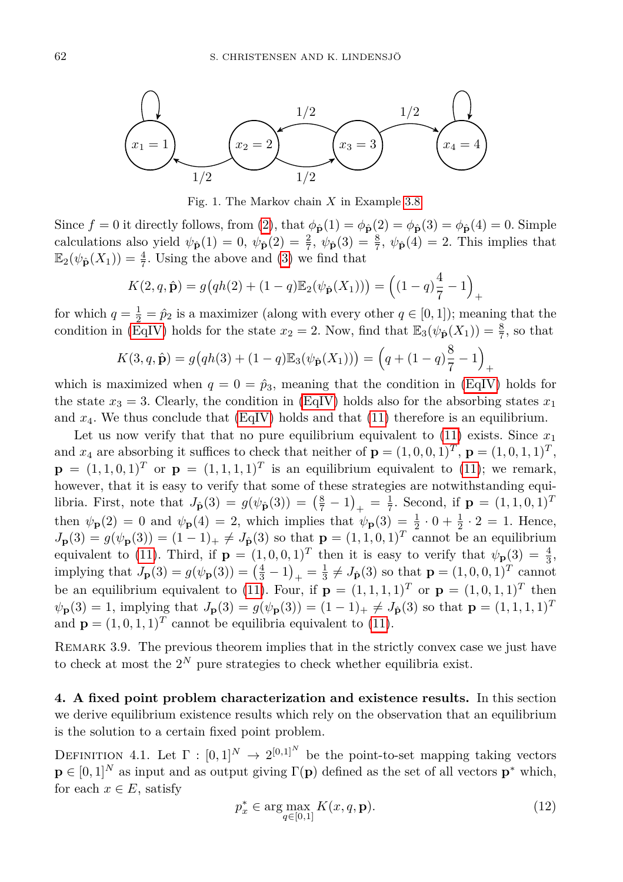

Fig. 1. The Markov chain *X* in Example [3.8.](#page-8-2)

Since  $f = 0$  it directly follows, from [\(2\)](#page-4-3), that  $\phi_{\hat{\mathbf{p}}}(1) = \phi_{\hat{\mathbf{p}}}(2) = \phi_{\hat{\mathbf{p}}}(3) = \phi_{\hat{\mathbf{p}}}(4) = 0$ . Simple calculations also yield  $\psi_{\hat{\mathbf{p}}}(1) = 0$ ,  $\psi_{\hat{\mathbf{p}}}(2) = \frac{2}{7}$ ,  $\psi_{\hat{\mathbf{p}}}(3) = \frac{8}{7}$ ,  $\psi_{\hat{\mathbf{p}}}(4) = 2$ . This implies that  $\mathbb{E}_2(\psi_{\hat{\mathbf{p}}}(X_1)) = \frac{4}{7}$ . Using the above and [\(3\)](#page-4-0) we find that

$$
K(2, q, \hat{\mathbf{p}}) = g(qh(2) + (1-q)\mathbb{E}_2(\psi_{\hat{\mathbf{p}}}(X_1))) = ((1-q)\frac{4}{7} - 1)_+
$$

for which  $q = \frac{1}{2} = \hat{p}_2$  is a maximizer (along with every other  $q \in [0, 1]$ ); meaning that the condition in [\(EqIV\)](#page-4-1) holds for the state  $x_2 = 2$ . Now, find that  $\mathbb{E}_3(\psi_{\hat{\mathbf{p}}}(X_1)) = \frac{8}{7}$ , so that

$$
K(3, q, \hat{\mathbf{p}}) = g(qh(3) + (1-q)\mathbb{E}_{3}(\psi_{\hat{\mathbf{p}}}(X_{1}))) = (q + (1-q)\frac{8}{7} - 1)_{+}
$$

which is maximized when  $q = 0 = \hat{p}_3$ , meaning that the condition in [\(EqIV\)](#page-4-1) holds for the state  $x_3 = 3$ . Clearly, the condition in [\(EqIV\)](#page-4-1) holds also for the absorbing states  $x_1$ and  $x_4$ . We thus conclude that  $(EqIV)$  holds and that  $(11)$  therefore is an equilibrium.

Let us now verify that that no pure equilibrium equivalent to  $(11)$  exists. Since  $x_1$ and  $x_4$  are absorbing it suffices to check that neither of  $\mathbf{p} = (1,0,0,1)^T$ ,  $\mathbf{p} = (1,0,1,1)^T$ ,  $\mathbf{p} = (1, 1, 0, 1)^T$  or  $\mathbf{p} = (1, 1, 1, 1)^T$  is an equilibrium equivalent to [\(11\)](#page-8-3); we remark, however, that it is easy to verify that some of these strategies are notwithstanding equilibria. First, note that  $J_{\hat{\mathbf{p}}}(3) = g(\psi_{\hat{\mathbf{p}}}(3)) = \left(\frac{8}{7} - 1\right)_{+} = \frac{1}{7}$ . Second, if  $\mathbf{p} = (1, 1, 0, 1)^{T}$ then  $\psi_{\mathbf{p}}(2) = 0$  and  $\psi_{\mathbf{p}}(4) = 2$ , which implies that  $\psi_{\mathbf{p}}(3) = \frac{1}{2} \cdot 0 + \frac{1}{2} \cdot 2 = 1$ . Hence,  $J_{\mathbf{p}}(3) = g(\psi_{\mathbf{p}}(3)) = (1 - 1)_{+} \neq J_{\hat{\mathbf{p}}}(3)$  so that  $\mathbf{p} = (1, 1, 0, 1)^{T}$  cannot be an equilibrium equivalent to [\(11\)](#page-8-3). Third, if  $\mathbf{p} = (1, 0, 0, 1)^T$  then it is easy to verify that  $\psi_{\mathbf{p}}(3) = \frac{4}{3}$ , implying that  $J_{\mathbf{p}}(3) = g(\psi_{\mathbf{p}}(3)) = \left(\frac{4}{3} - 1\right)_{+} = \frac{1}{3} \neq J_{\hat{\mathbf{p}}}(3)$  so that  $\mathbf{p} = (1, 0, 0, 1)^{T}$  cannot be an equilibrium equivalent to [\(11\)](#page-8-3). Four, if  $\mathbf{p} = (1,1,1,1)^T$  or  $\mathbf{p} = (1,0,1,1)^T$  then  $\psi_{\mathbf{p}}(3) = 1$ , implying that  $J_{\mathbf{p}}(3) = g(\psi_{\mathbf{p}}(3)) = (1 - 1)_{+} \neq J_{\hat{\mathbf{p}}}(3)$  so that  $\mathbf{p} = (1, 1, 1, 1)^{T}$ and  $\mathbf{p} = (1, 0, 1, 1)^T$  cannot be equilibria equivalent to [\(11\)](#page-8-3).

REMARK 3.9. The previous theorem implies that in the strictly convex case we just have to check at most the  $2^N$  pure strategies to check whether equilibria exist.

<span id="page-9-0"></span>**4. A fixed point problem characterization and existence results.** In this section we derive equilibrium existence results which rely on the observation that an equilibrium is the solution to a certain fixed point problem.

<span id="page-9-3"></span><span id="page-9-2"></span>DEFINITION 4.1. Let  $\Gamma : [0,1]^N \to 2^{[0,1]^N}$  be the point-to-set mapping taking vectors  $\mathbf{p} \in [0,1]^N$  as input and as output giving  $\Gamma(\mathbf{p})$  defined as the set of all vectors  $\mathbf{p}^*$  which, for each  $x \in E$ , satisfy

<span id="page-9-1"></span>
$$
p_x^* \in \arg\max_{q \in [0,1]} K(x,q,\mathbf{p}).\tag{12}
$$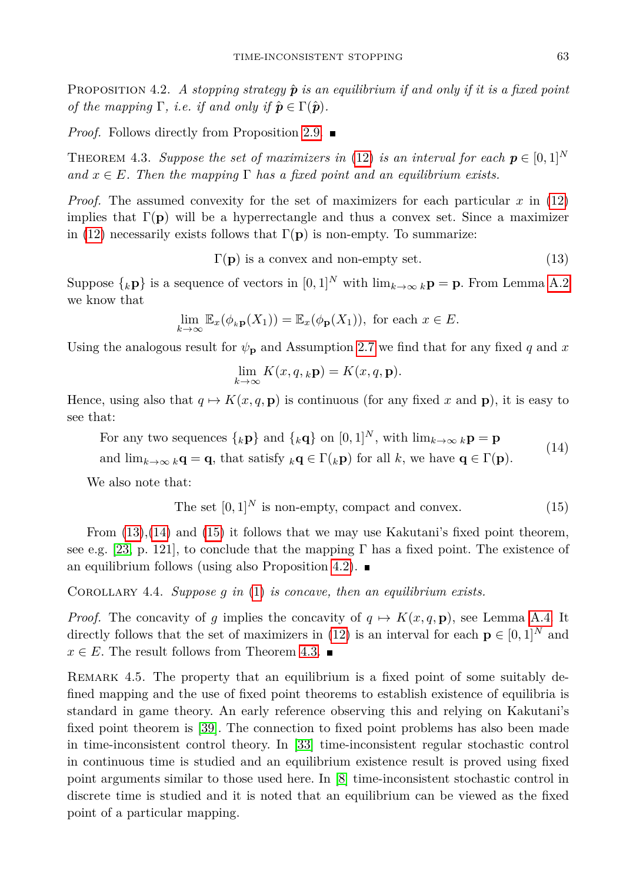**PROPOSITION 4.2.** A stopping strategy  $\hat{p}$  is an equilibrium if and only if it is a fixed point *of the mapping*  $\Gamma$ *, i.e. if and only if*  $\hat{\boldsymbol{p}} \in \Gamma(\hat{\boldsymbol{p}})$ *.* 

*Proof.* Follows directly from Proposition [2.9.](#page-4-1) ■

<span id="page-10-3"></span>THEOREM 4.3. *Suppose the set of maximizers in* [\(12\)](#page-9-1) *is an interval for each*  $p \in [0,1]^N$ and  $x \in E$ . Then the mapping  $\Gamma$  has a fixed point and an equilibrium exists.

*Proof.* The assumed convexity for the set of maximizers for each particular *x* in [\(12\)](#page-9-1) implies that  $\Gamma(\mathbf{p})$  will be a hyperrectangle and thus a convex set. Since a maximizer in [\(12\)](#page-9-1) necessarily exists follows that  $\Gamma(\mathbf{p})$  is non-empty. To summarize:

<span id="page-10-0"></span> $\Gamma(\mathbf{p})$  is a convex and non-empty set. (13)

Suppose  $\{k\}$  is a sequence of vectors in  $[0,1]^N$  with  $\lim_{k\to\infty} k\mathbf{p} = \mathbf{p}$ . From Lemma [A.2](#page-20-2) we know that

$$
\lim_{k \to \infty} \mathbb{E}_x(\phi_{k\mathbf{p}}(X_1)) = \mathbb{E}_x(\phi_{\mathbf{p}}(X_1)), \text{ for each } x \in E.
$$

Using the analogous result for  $\psi_{\bf p}$  and Assumption [2.7](#page-4-4) we find that for any fixed *q* and *x* 

$$
\lim_{k \to \infty} K(x, q, {}_{k}\mathbf{p}) = K(x, q, \mathbf{p}).
$$

Hence, using also that  $q \mapsto K(x, q, \mathbf{p})$  is continuous (for any fixed x and **p**), it is easy to see that:

<span id="page-10-1"></span>For any two sequences  $\{k\mathbf{p}\}\$  and  $\{k\mathbf{q}\}\$  on  $[0,1]^N$ , with  $\lim_{k\to\infty} k\mathbf{p} = \mathbf{p}$ and  $\lim_{k\to\infty} k\mathbf{q} = \mathbf{q}$ , that satisfy  $_k\mathbf{q} \in \Gamma(k\mathbf{p})$  for all k, we have  $\mathbf{q} \in \Gamma(\mathbf{p})$ . (14)

We also note that:

<span id="page-10-2"></span>The set 
$$
[0,1]^N
$$
 is non-empty, compact and convex. (15)

From [\(13\)](#page-10-0),[\(14\)](#page-10-1) and [\(15\)](#page-10-2) it follows that we may use Kakutani's fixed point theorem, see e.g. [\[23,](#page-22-15) p. 121], to conclude that the mapping  $\Gamma$  has a fixed point. The existence of an equilibrium follows (using also Proposition [4.2\)](#page-9-2).  $\blacksquare$ 

<span id="page-10-4"></span>Corollary 4.4. *Suppose g in* [\(1\)](#page-0-0) *is concave, then an equilibrium exists.*

*Proof.* The concavity of *q* implies the concavity of  $q \mapsto K(x, q, \mathbf{p})$ , see Lemma [A.4.](#page-21-9) It directly follows that the set of maximizers in [\(12\)](#page-9-1) is an interval for each  $\mathbf{p} \in [0,1]^N$  and  $x \in E$ . The result follows from Theorem [4.3.](#page-10-3) ■

REMARK 4.5. The property that an equilibrium is a fixed point of some suitably defined mapping and the use of fixed point theorems to establish existence of equilibria is standard in game theory. An early reference observing this and relying on Kakutani's fixed point theorem is [\[39\]](#page-23-20). The connection to fixed point problems has also been made in time-inconsistent control theory. In [\[33\]](#page-22-16) time-inconsistent regular stochastic control in continuous time is studied and an equilibrium existence result is proved using fixed point arguments similar to those used here. In [\[8\]](#page-21-0) time-inconsistent stochastic control in discrete time is studied and it is noted that an equilibrium can be viewed as the fixed point of a particular mapping.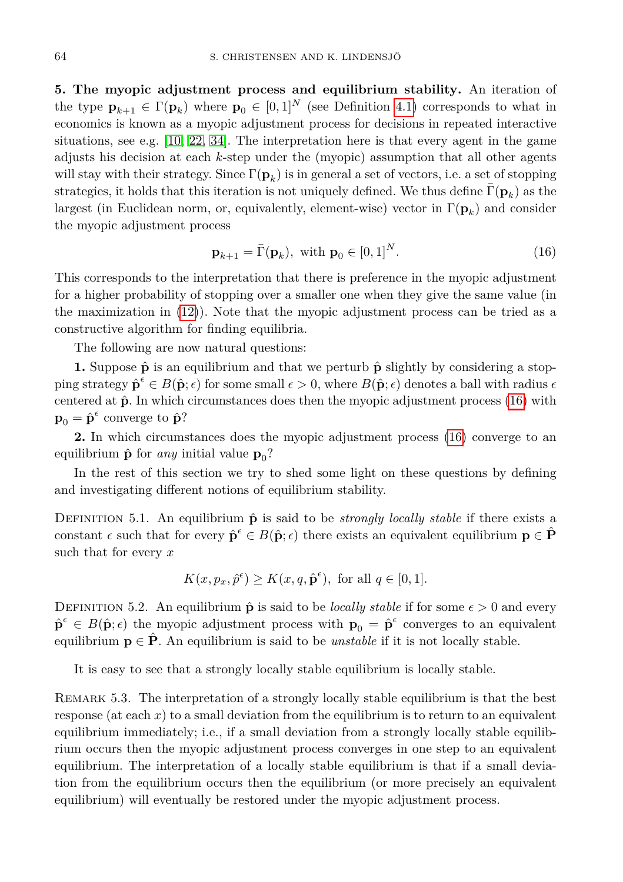<span id="page-11-0"></span>**5. The myopic adjustment process and equilibrium stability.** An iteration of the type  $\mathbf{p}_{k+1} \in \Gamma(\mathbf{p}_k)$  where  $\mathbf{p}_0 \in [0,1]^N$  (see Definition [4.1\)](#page-9-3) corresponds to what in economics is known as a myopic adjustment process for decisions in repeated interactive situations, see e.g. [\[10,](#page-21-10) [22,](#page-22-17) [34\]](#page-22-18). The interpretation here is that every agent in the game adjusts his decision at each *k*-step under the (myopic) assumption that all other agents will stay with their strategy. Since  $\Gamma(\mathbf{p}_k)$  is in general a set of vectors, i.e. a set of stopping strategies, it holds that this iteration is not uniquely defined. We thus define  $\bar{\Gamma}({\bf p}_k)$  as the largest (in Euclidean norm, or, equivalently, element-wise) vector in Γ(**p***<sup>k</sup>* ) and consider the myopic adjustment process

<span id="page-11-1"></span>
$$
\mathbf{p}_{k+1} = \bar{\Gamma}(\mathbf{p}_k), \text{ with } \mathbf{p}_0 \in [0,1]^N. \tag{16}
$$

This corresponds to the interpretation that there is preference in the myopic adjustment for a higher probability of stopping over a smaller one when they give the same value (in the maximization in [\(12\)](#page-9-1)). Note that the myopic adjustment process can be tried as a constructive algorithm for finding equilibria.

The following are now natural questions:

**1.** Suppose  $\hat{\mathbf{p}}$  is an equilibrium and that we perturb  $\hat{\mathbf{p}}$  slightly by considering a stopping strategy  $\hat{\mathbf{p}}^{\epsilon} \in B(\hat{\mathbf{p}}; \epsilon)$  for some small  $\epsilon > 0$ , where  $B(\hat{\mathbf{p}}; \epsilon)$  denotes a ball with radius  $\epsilon$ centered at **p**ˆ. In which circumstances does then the myopic adjustment process [\(16\)](#page-11-1) with  $\mathbf{p}_0 = \hat{\mathbf{p}}^{\epsilon}$  converge to  $\hat{\mathbf{p}}$ ?

**2.** In which circumstances does the myopic adjustment process [\(16\)](#page-11-1) converge to an equilibrium  $\hat{\mathbf{p}}$  for *any* initial value  $\mathbf{p}_0$ ?

In the rest of this section we try to shed some light on these questions by defining and investigating different notions of equilibrium stability.

DEFINITION 5.1. An equilibrium  $\hat{\mathbf{p}}$  is said to be *strongly locally stable* if there exists a constant  $\epsilon$  such that for every  $\hat{\mathbf{p}}^{\epsilon} \in B(\hat{\mathbf{p}}; \epsilon)$  there exists an equivalent equilibrium  $\mathbf{p} \in \hat{\mathbf{P}}$ such that for every *x*

$$
K(x, p_x, \hat{p}^{\epsilon}) \ge K(x, q, \hat{\mathbf{p}}^{\epsilon}), \text{ for all } q \in [0, 1].
$$

DEFINITION 5.2. An equilibrium  $\hat{\mathbf{p}}$  is said to be *locally stable* if for some  $\epsilon > 0$  and every  $\hat{\mathbf{p}}^{\epsilon} \in B(\hat{\mathbf{p}}; \epsilon)$  the myopic adjustment process with  $\mathbf{p}_0 = \hat{\mathbf{p}}^{\epsilon}$  converges to an equivalent equilibrium  $p \in \hat{P}$ . An equilibrium is said to be *unstable* if it is not locally stable.

It is easy to see that a strongly locally stable equilibrium is locally stable.

REMARK 5.3. The interpretation of a strongly locally stable equilibrium is that the best response (at each  $x$ ) to a small deviation from the equilibrium is to return to an equivalent equilibrium immediately; i.e., if a small deviation from a strongly locally stable equilibrium occurs then the myopic adjustment process converges in one step to an equivalent equilibrium. The interpretation of a locally stable equilibrium is that if a small deviation from the equilibrium occurs then the equilibrium (or more precisely an equivalent equilibrium) will eventually be restored under the myopic adjustment process.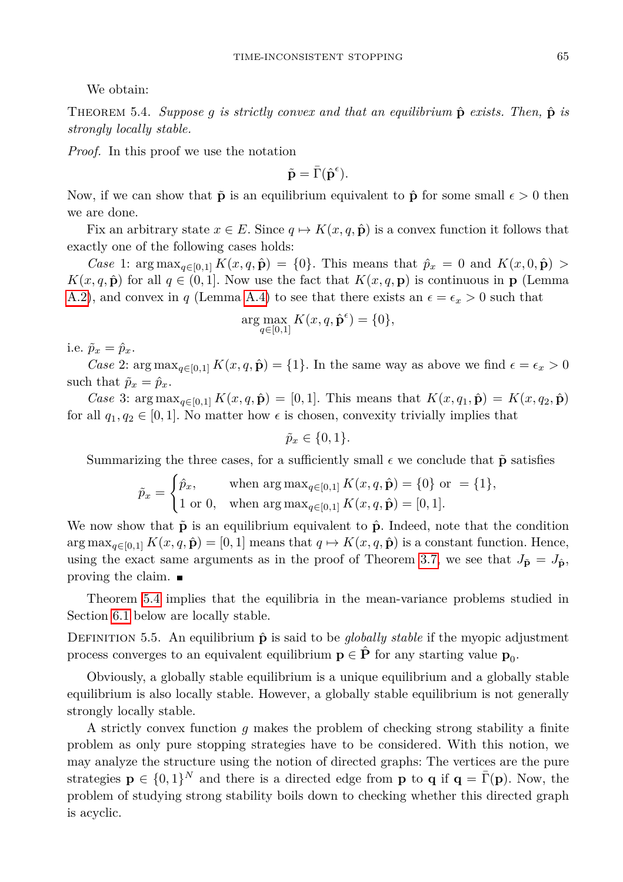We obtain:

<span id="page-12-0"></span>Theorem 5.4. *Suppose g is strictly convex and that an equilibrium* **p**ˆ *exists. Then,* **p**ˆ *is strongly locally stable.*

*Proof.* In this proof we use the notation

$$
\tilde{\mathbf{p}} = \bar{\Gamma}(\hat{\mathbf{p}}^{\epsilon}).
$$

Now, if we can show that  $\tilde{\mathbf{p}}$  is an equilibrium equivalent to  $\hat{\mathbf{p}}$  for some small  $\epsilon > 0$  then we are done.

Fix an arbitrary state  $x \in E$ . Since  $q \mapsto K(x, q, \hat{\mathbf{p}})$  is a convex function it follows that exactly one of the following cases holds:

*Case* 1:  $\arg \max_{q \in [0,1]} K(x,q,\hat{\mathbf{p}}) = \{0\}.$  This means that  $\hat{p}_x = 0$  and  $K(x,0,\hat{\mathbf{p}}) > 0$  $K(x, q, \hat{\mathbf{p}})$  for all  $q \in (0, 1]$ . Now use the fact that  $K(x, q, \mathbf{p})$  is continuous in **p** (Lemma [A.2\)](#page-20-2), and convex in *q* (Lemma [A.4\)](#page-21-9) to see that there exists an  $\epsilon = \epsilon_x > 0$  such that

$$
\arg\max_{q\in[0,1]} K(x,q,\hat{\mathbf{p}}^{\epsilon})=\{0\},
$$

i.e.  $\tilde{p}_x = \hat{p}_x$ .

*Case* 2:  $\arg \max_{q \in [0,1]} K(x,q,\hat{\mathbf{p}}) = \{1\}$ . In the same way as above we find  $\epsilon = \epsilon_x > 0$ such that  $\tilde{p}_x = \hat{p}_x$ .

*Case* 3:  $\arg \max_{q \in [0,1]} K(x,q, \hat{\mathbf{p}}) = [0,1].$  This means that  $K(x,q_1, \hat{\mathbf{p}}) = K(x,q_2, \hat{\mathbf{p}})$ for all  $q_1, q_2 \in [0, 1]$ . No matter how  $\epsilon$  is chosen, convexity trivially implies that

 $\tilde{p}_x \in \{0, 1\}.$ 

Summarizing the three cases, for a sufficiently small  $\epsilon$  we conclude that  $\tilde{p}$  satisfies

$$
\tilde{p}_x = \begin{cases} \hat{p}_x, & \text{when arg max}_{q \in [0,1]} K(x,q, \hat{\mathbf{p}}) = \{0\} \text{ or } = \{1\}, \\ 1 \text{ or } 0, & \text{when arg max}_{q \in [0,1]} K(x,q, \hat{\mathbf{p}}) = [0,1]. \end{cases}
$$

We now show that  $\tilde{p}$  is an equilibrium equivalent to  $\hat{p}$ . Indeed, note that the condition  $\arg \max_{q \in [0,1]} K(x,q,\hat{\mathbf{p}}) = [0,1]$  means that  $q \mapsto K(x,q,\hat{\mathbf{p}})$  is a constant function. Hence, using the exact same arguments as in the proof of Theorem [3.7,](#page-8-0) we see that  $J_{\tilde{p}} = J_{\tilde{p}}$ , proving the claim.

Theorem [5.4](#page-12-0) implies that the equilibria in the mean-variance problems studied in Section [6.1](#page-13-1) below are locally stable.

DEFINITION 5.5. An equilibrium  $\hat{p}$  is said to be *globally stable* if the myopic adjustment process converges to an equivalent equilibrium  $p \in \hat{P}$  for any starting value  $p_0$ .

Obviously, a globally stable equilibrium is a unique equilibrium and a globally stable equilibrium is also locally stable. However, a globally stable equilibrium is not generally strongly locally stable.

A strictly convex function *g* makes the problem of checking strong stability a finite problem as only pure stopping strategies have to be considered. With this notion, we may analyze the structure using the notion of directed graphs: The vertices are the pure strategies  $\mathbf{p} \in \{0,1\}^N$  and there is a directed edge from **p** to **q** if  $\mathbf{q} = \bar{\Gamma}(\mathbf{p})$ . Now, the problem of studying strong stability boils down to checking whether this directed graph is acyclic.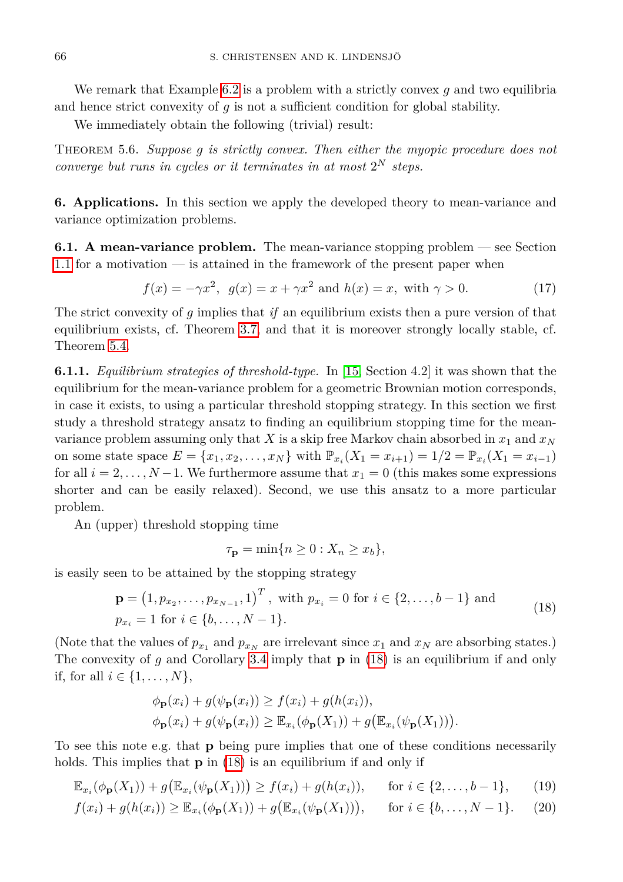We remark that Example [6.2](#page-15-1) is a problem with a strictly convex *g* and two equilibria and hence strict convexity of *g* is not a sufficient condition for global stability.

We immediately obtain the following (trivial) result:

Theorem 5.6. *Suppose g is strictly convex. Then either the myopic procedure does not converge but runs in cycles or it terminates in at most*  $2^N$  *steps.* 

<span id="page-13-0"></span>**6. Applications.** In this section we apply the developed theory to mean-variance and variance optimization problems.

<span id="page-13-1"></span>**6.1. A mean-variance problem.** The mean-variance stopping problem — see Section [1.1](#page-1-0) for a motivation — is attained in the framework of the present paper when

<span id="page-13-5"></span>
$$
f(x) = -\gamma x^2, \ \ g(x) = x + \gamma x^2 \text{ and } h(x) = x, \ \text{with } \gamma > 0.
$$
 (17)

The strict convexity of *g* implies that *if* an equilibrium exists then a pure version of that equilibrium exists, cf. Theorem [3.7,](#page-8-0) and that it is moreover strongly locally stable, cf. Theorem [5.4.](#page-12-0)

<span id="page-13-6"></span>**6.1.1.** *Equilibrium strategies of threshold-type.* In [\[15,](#page-22-1) Section 4.2] it was shown that the equilibrium for the mean-variance problem for a geometric Brownian motion corresponds, in case it exists, to using a particular threshold stopping strategy. In this section we first study a threshold strategy ansatz to finding an equilibrium stopping time for the meanvariance problem assuming only that *X* is a skip free Markov chain absorbed in  $x_1$  and  $x_N$ on some state space  $E = \{x_1, x_2, \dots, x_N\}$  with  $\mathbb{P}_{x_i}(X_1 = x_{i+1}) = 1/2 = \mathbb{P}_{x_i}(X_1 = x_{i-1})$ for all  $i = 2, \ldots, N-1$ . We furthermore assume that  $x_1 = 0$  (this makes some expressions shorter and can be easily relaxed). Second, we use this ansatz to a more particular problem.

An (upper) threshold stopping time

<span id="page-13-4"></span><span id="page-13-3"></span><span id="page-13-2"></span>
$$
\tau_{\mathbf{p}} = \min\{n \ge 0 : X_n \ge x_b\},\
$$

is easily seen to be attained by the stopping strategy

$$
\mathbf{p} = (1, p_{x_2}, \dots, p_{x_{N-1}}, 1)^T, \text{ with } p_{x_i} = 0 \text{ for } i \in \{2, \dots, b-1\} \text{ and}
$$
  
\n
$$
p_{x_i} = 1 \text{ for } i \in \{b, \dots, N-1\}.
$$
\n(18)

(Note that the values of  $p_{x_1}$  and  $p_{x_N}$  are irrelevant since  $x_1$  and  $x_N$  are absorbing states.) The convexity of *g* and Corollary [3.4](#page-7-2) imply that **p** in [\(18\)](#page-13-2) is an equilibrium if and only if, for all *i* ∈ {1*, . . . , N*},

$$
\begin{aligned} \phi_{\mathbf{p}}(x_i) + g(\psi_{\mathbf{p}}(x_i)) &\ge f(x_i) + g(h(x_i)), \\ \phi_{\mathbf{p}}(x_i) + g(\psi_{\mathbf{p}}(x_i)) &\ge \mathbb{E}_{x_i}(\phi_{\mathbf{p}}(X_1)) + g(\mathbb{E}_{x_i}(\psi_{\mathbf{p}}(X_1))). \end{aligned}
$$

To see this note e.g. that **p** being pure implies that one of these conditions necessarily holds. This implies that **p** in [\(18\)](#page-13-2) is an equilibrium if and only if

$$
\mathbb{E}_{x_i}(\phi_{\mathbf{p}}(X_1)) + g\big(\mathbb{E}_{x_i}(\psi_{\mathbf{p}}(X_1))\big) \ge f(x_i) + g(h(x_i)), \quad \text{for } i \in \{2, \dots, b-1\}, \tag{19}
$$

$$
f(x_i) + g(h(x_i)) \ge \mathbb{E}_{x_i}(\phi_{\mathbf{p}}(X_1)) + g(\mathbb{E}_{x_i}(\psi_{\mathbf{p}}(X_1))), \quad \text{for } i \in \{b, \dots, N-1\}.
$$
 (20)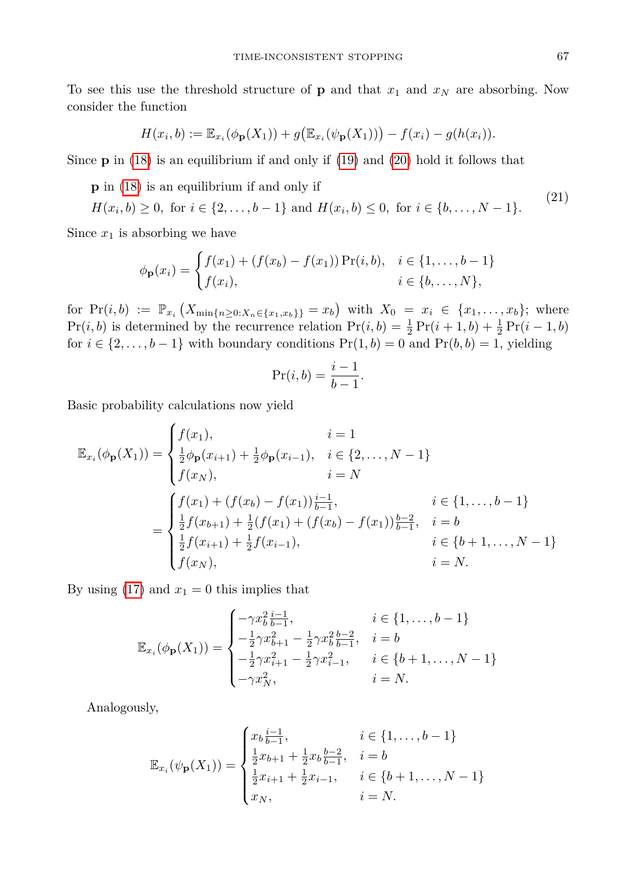To see this use the threshold structure of **p** and that  $x_1$  and  $x_N$  are absorbing. Now consider the function

$$
H(x_i, b) := \mathbb{E}_{x_i}(\phi_{\mathbf{p}}(X_1)) + g(\mathbb{E}_{x_i}(\psi_{\mathbf{p}}(X_1))) - f(x_i) - g(h(x_i)).
$$

Since **p** in [\(18\)](#page-13-2) is an equilibrium if and only if [\(19\)](#page-13-3) and [\(20\)](#page-13-4) hold it follows that

**p** in [\(18\)](#page-13-2) is an equilibrium if and only if

 $H(x_i, b) \ge 0$ , for  $i \in \{2, ..., b-1\}$  and  $H(x_i, b) \le 0$ , for  $i \in \{b, ..., N-1\}$ *.* (21)

Since  $x_1$  is absorbing we have

$$
\phi_{\mathbf{p}}(x_i) = \begin{cases} f(x_1) + (f(x_b) - f(x_1)) \Pr(i, b), & i \in \{1, ..., b - 1\} \\ f(x_i), & i \in \{b, ..., N\}, \end{cases}
$$

 $\text{for } \Pr(i, b) := \mathbb{P}_{x_i} \left( X_{\min\{n \geq 0: X_n \in \{x_1, x_b\}\}} = x_b \right) \text{ with } X_0 = x_i \in \{x_1, \ldots, x_b\}; \text{ where }$  $Pr(i, b)$  is determined by the recurrence relation  $Pr(i, b) = \frac{1}{2} Pr(i + 1, b) + \frac{1}{2} Pr(i - 1, b)$ for  $i \in \{2, ..., b-1\}$  with boundary conditions  $Pr(1, b) = 0$  and  $Pr(b, b) = 1$ , yielding

<span id="page-14-0"></span>
$$
\Pr(i, b) = \frac{i - 1}{b - 1}.
$$

Basic probability calculations now yield

$$
\mathbb{E}_{x_i}(\phi_{\mathbf{p}}(X_1)) = \begin{cases} f(x_1), & i = 1 \\ \frac{1}{2}\phi_{\mathbf{p}}(x_{i+1}) + \frac{1}{2}\phi_{\mathbf{p}}(x_{i-1}), & i \in \{2, ..., N-1\} \\ f(x_N), & i = N \end{cases}
$$

$$
= \begin{cases} f(x_1) + (f(x_b) - f(x_1))\frac{i-1}{b-1}, & i \in \{1, ..., b-1\} \\ \frac{1}{2}f(x_{b+1}) + \frac{1}{2}(f(x_1) + (f(x_b) - f(x_1))\frac{b-2}{b-1}, & i = b \\ \frac{1}{2}f(x_{i+1}) + \frac{1}{2}f(x_{i-1}), & i \in \{b+1, ..., N-1\} \\ f(x_N), & i = N. \end{cases}
$$

By using  $(17)$  and  $x_1 = 0$  this implies that

$$
\mathbb{E}_{x_i}(\phi_{\mathbf{p}}(X_1)) = \begin{cases}\n-\gamma x_b^2 \frac{i-1}{b-1}, & i \in \{1, \dots, b-1\} \\
-\frac{1}{2}\gamma x_{b+1}^2 - \frac{1}{2}\gamma x_b^2 \frac{b-2}{b-1}, & i = b \\
-\frac{1}{2}\gamma x_{i+1}^2 - \frac{1}{2}\gamma x_{i-1}^2, & i \in \{b+1, \dots, N-1\} \\
-\gamma x_N^2, & i = N.\n\end{cases}
$$

Analogously,

$$
\mathbb{E}_{x_i}(\psi_{\mathbf{p}}(X_1)) = \begin{cases} x_b \frac{i-1}{b-1}, & i \in \{1, \dots, b-1\} \\ \frac{1}{2}x_{b+1} + \frac{1}{2}x_b \frac{b-2}{b-1}, & i = b \\ \frac{1}{2}x_{i+1} + \frac{1}{2}x_{i-1}, & i \in \{b+1, \dots, N-1\} \\ x_N, & i = N. \end{cases}
$$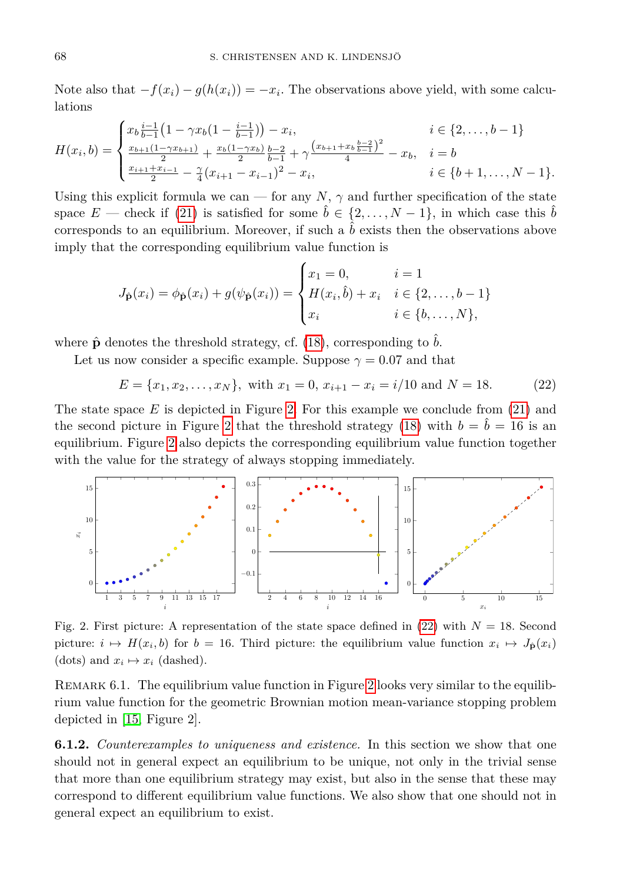Note also that  $-f(x_i) - g(h(x_i)) = -x_i$ . The observations above yield, with some calculations

$$
H(x_i, b) = \begin{cases} x_b \frac{i-1}{b-1} \left( 1 - \gamma x_b (1 - \frac{i-1}{b-1}) \right) - x_i, & i \in \{2, \dots, b-1\} \\ \frac{x_{b+1} (1 - \gamma x_{b+1})}{2} + \frac{x_b (1 - \gamma x_b)}{2} \frac{b-2}{b-1} + \gamma \frac{\left(x_{b+1} + x_b \frac{b-2}{b-1}\right)^2}{4} - x_b, & i = b \\ \frac{x_{i+1} + x_{i-1}}{2} - \frac{\gamma}{4} (x_{i+1} - x_{i-1})^2 - x_i, & i \in \{b+1, \dots, N-1\}. \end{cases}
$$

Using this explicit formula we can — for any  $N$ ,  $\gamma$  and further specification of the state space  $E$  — check if [\(21\)](#page-14-0) is satisfied for some  $\tilde{b} \in \{2, ..., N-1\}$ , in which case this  $\tilde{b}$ corresponds to an equilibrium. Moreover, if such a  $\hat{b}$  exists then the observations above imply that the corresponding equilibrium value function is

$$
J_{\hat{\mathbf{p}}}(x_i) = \phi_{\hat{\mathbf{p}}}(x_i) + g(\psi_{\hat{\mathbf{p}}}(x_i)) = \begin{cases} x_1 = 0, & i = 1 \\ H(x_i, \hat{b}) + x_i & i \in \{2, ..., b - 1\} \\ x_i & i \in \{b, ..., N\}, \end{cases}
$$

where  $\hat{\mathbf{p}}$  denotes the threshold strategy, cf. [\(18\)](#page-13-2), corresponding to *b*.

Let us now consider a specific example. Suppose  $\gamma = 0.07$  and that

<span id="page-15-3"></span>
$$
E = \{x_1, x_2, \dots, x_N\},\ \text{with}\ x_1 = 0, \ x_{i+1} - x_i = i/10 \text{ and } N = 18. \tag{22}
$$

The state space *E* is depicted in Figure [2.](#page-15-2) For this example we conclude from [\(21\)](#page-14-0) and the second picture in Figure [2](#page-15-2) that the threshold strategy [\(18\)](#page-13-2) with  $b = \tilde{b} = 16$  is an equilibrium. Figure [2](#page-15-2) also depicts the corresponding equilibrium value function together with the value for the strategy of always stopping immediately.

<span id="page-15-2"></span>

Fig. 2. First picture: A representation of the state space defined in  $(22)$  with  $N = 18$ . Second picture:  $i \mapsto H(x_i, b)$  for  $b = 16$ . Third picture: the equilibrium value function  $x_i \mapsto J_p(x_i)$ (dots) and  $x_i \mapsto x_i$  (dashed).

REMARK 6.1. The equilibrium value function in Figure [2](#page-15-2) looks very similar to the equilibrium value function for the geometric Brownian motion mean-variance stopping problem depicted in [\[15,](#page-22-1) Figure 2].

<span id="page-15-1"></span><span id="page-15-0"></span>**6.1.2.** *Counterexamples to uniqueness and existence.* In this section we show that one should not in general expect an equilibrium to be unique, not only in the trivial sense that more than one equilibrium strategy may exist, but also in the sense that these may correspond to different equilibrium value functions. We also show that one should not in general expect an equilibrium to exist.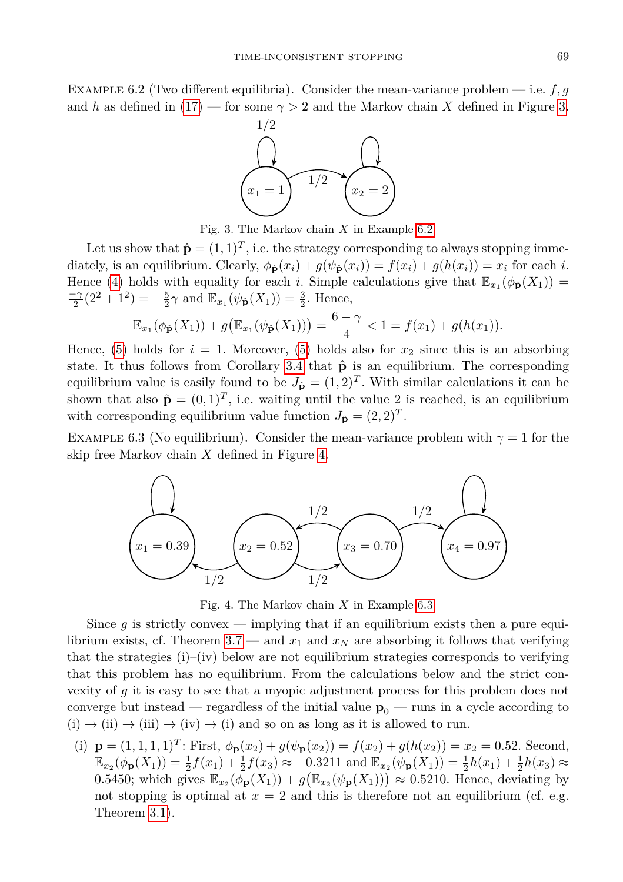<span id="page-16-0"></span>Example 6.2 (Two different equilibria). Consider the mean-variance problem — i.e. *f, g* and *h* as defined in [\(17\)](#page-13-5) — for some  $\gamma > 2$  and the Markov chain X defined in Figure [3.](#page-16-0)



Fig. 3. The Markov chain *X* in Example [6.2.](#page-15-1)

Let us show that  $\hat{\mathbf{p}} = (1, 1)^T$ , i.e. the strategy corresponding to always stopping immediately, is an equilibrium. Clearly,  $\phi_{\hat{\mathbf{p}}}(x_i) + g(\psi_{\hat{\mathbf{p}}}(x_i)) = f(x_i) + g(h(x_i)) = x_i$  for each *i*. Hence [\(4\)](#page-6-1) holds with equality for each *i*. Simple calculations give that  $\mathbb{E}_{x_1}(\phi_{\hat{\mathbf{p}}}(X_1))$  =  $\frac{-\gamma}{2}(2^2+1^2) = -\frac{5}{2}\gamma$  and  $\mathbb{E}_{x_1}(\psi_{\hat{\mathbf{p}}}(X_1)) = \frac{3}{2}$ . Hence,

$$
\mathbb{E}_{x_1}(\phi_{\hat{\mathbf{p}}}(X_1)) + g\big(\mathbb{E}_{x_1}(\psi_{\hat{\mathbf{p}}}(X_1))\big) = \frac{6-\gamma}{4} < 1 = f(x_1) + g(h(x_1)).
$$

Hence,  $(5)$  holds for  $i = 1$ . Moreover,  $(5)$  holds also for  $x_2$  since this is an absorbing state. It thus follows from Corollary [3.4](#page-7-2) that  $\hat{\mathbf{p}}$  is an equilibrium. The corresponding equilibrium value is easily found to be  $J_{\hat{\mathbf{p}}} = (1,2)^T$ . With similar calculations it can be shown that also  $\tilde{\mathbf{p}} = (0,1)^T$ , i.e. waiting until the value 2 is reached, is an equilibrium with corresponding equilibrium value function  $J_{\tilde{\mathbf{p}}} = (2, 2)^T$ .

<span id="page-16-2"></span><span id="page-16-1"></span>EXAMPLE 6.3 (No equilibrium). Consider the mean-variance problem with  $\gamma = 1$  for the skip free Markov chain *X* defined in Figure [4.](#page-16-1)



Fig. 4. The Markov chain *X* in Example [6.3.](#page-16-2)

Since  $g$  is strictly convex — implying that if an equilibrium exists then a pure equi-librium exists, cf. Theorem [3.7](#page-8-0) — and  $x_1$  and  $x_N$  are absorbing it follows that verifying that the strategies  $(i)$ – $(iv)$  below are not equilibrium strategies corresponds to verifying that this problem has no equilibrium. From the calculations below and the strict convexity of *g* it is easy to see that a myopic adjustment process for this problem does not converge but instead — regardless of the initial value  $p_0$  — runs in a cycle according to  $(i) \rightarrow (ii) \rightarrow (iii) \rightarrow (iv) \rightarrow (i)$  and so on as long as it is allowed to run.

(i)  $\mathbf{p} = (1, 1, 1, 1)^T$ : First,  $\phi_{\mathbf{p}}(x_2) + g(\psi_{\mathbf{p}}(x_2)) = f(x_2) + g(h(x_2)) = x_2 = 0.52$ . Second,  $\mathbb{E}_{x_2}(\phi_{\mathbf{p}}(X_1)) = \frac{1}{2}f(x_1) + \frac{1}{2}f(x_3) \approx -0.3211$  and  $\mathbb{E}_{x_2}(\psi_{\mathbf{p}}(X_1)) = \frac{1}{2}h(x_1) + \frac{1}{2}h(x_3) \approx$ 0.5450; which gives  $\mathbb{E}_{x_2}(\overline{\phi_p}(X_1)) + g(\mathbb{E}_{x_2}(\psi_p(X_1))) \approx 0.5210$ . Hence, deviating by not stopping is optimal at  $x = 2$  and this is therefore not an equilibrium (cf. e.g. Theorem [3.1\)](#page-6-6).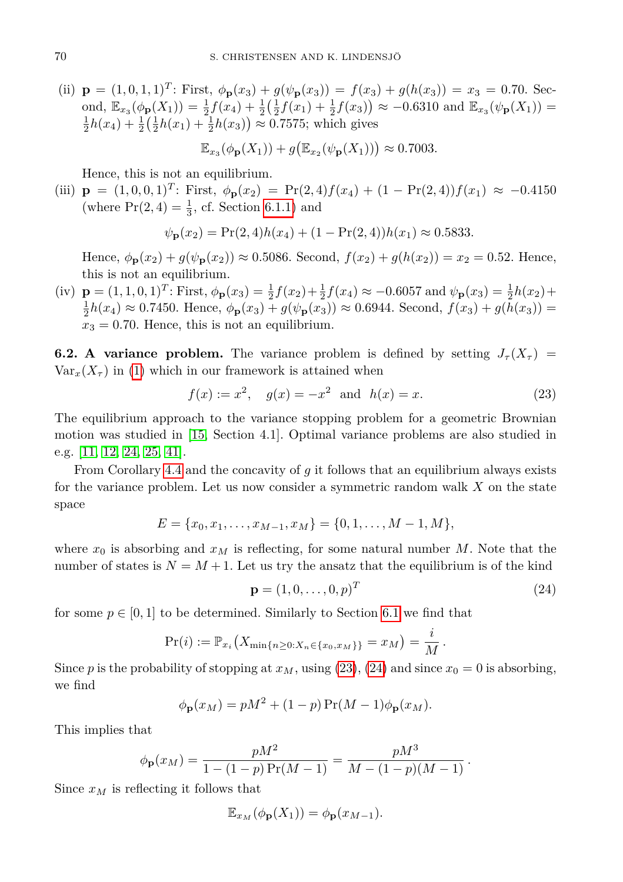(ii)  $\mathbf{p} = (1, 0, 1, 1)^T$ : First,  $\phi_{\mathbf{p}}(x_3) + g(\psi_{\mathbf{p}}(x_3)) = f(x_3) + g(h(x_3)) = x_3 = 0.70$ . Second,  $\mathbb{E}_{x_3}(\phi_{\mathbf{p}}(X_1)) = \frac{1}{2}f(x_4) + \frac{1}{2}(\frac{1}{2}f(x_1) + \frac{1}{2}f(x_3)) \approx -0.6310$  and  $\mathbb{E}_{x_3}(\psi_{\mathbf{p}}(X_1)) =$  $\frac{1}{2}h(x_4) + \frac{1}{2}(\frac{1}{2}h(x_1) + \frac{1}{2}h(x_3)) \approx 0.7575$ ; which gives

$$
\mathbb{E}_{x_3}(\phi_{\mathbf{p}}(X_1)) + g\big(\mathbb{E}_{x_2}(\psi_{\mathbf{p}}(X_1))\big) \approx 0.7003.
$$

Hence, this is not an equilibrium.

(iii)  $\mathbf{p} = (1, 0, 0, 1)^T$ : First,  $\phi_{\mathbf{p}}(x_2) = \Pr(2, 4) f(x_4) + (1 - \Pr(2, 4)) f(x_1) \approx -0.4150$ (where  $Pr(2, 4) = \frac{1}{3}$ , cf. Section [6.1.1\)](#page-13-6) and

$$
\psi_{\mathbf{p}}(x_2) = \Pr(2, 4)h(x_4) + (1 - \Pr(2, 4))h(x_1) \approx 0.5833.
$$

Hence,  $\phi_{\mathbf{p}}(x_2) + g(\psi_{\mathbf{p}}(x_2)) \approx 0.5086$ . Second,  $f(x_2) + g(h(x_2)) = x_2 = 0.52$ . Hence, this is not an equilibrium.

(iv)  $\mathbf{p} = (1, 1, 0, 1)^T$ : First,  $\phi_{\mathbf{p}}(x_3) = \frac{1}{2}f(x_2) + \frac{1}{2}f(x_4) \approx -0.6057$  and  $\psi_{\mathbf{p}}(x_3) = \frac{1}{2}h(x_2) +$  $\frac{1}{2}h(x_4) \approx 0.7450$ . Hence,  $\phi_{\mathbf{p}}(x_3) + g(\psi_{\mathbf{p}}(x_3)) \approx 0.6944$ . Second,  $f(x_3) + g(h(x_3)) =$  $x_3 = 0.70$ . Hence, this is not an equilibrium.

<span id="page-17-0"></span>**6.2. A variance problem.** The variance problem is defined by setting  $J_{\tau}(X_{\tau})$  =  $\text{Var}_x(X_\tau)$  in [\(1\)](#page-0-0) which in our framework is attained when

<span id="page-17-1"></span>
$$
f(x) := x^2
$$
,  $g(x) = -x^2$  and  $h(x) = x$ . (23)

The equilibrium approach to the variance stopping problem for a geometric Brownian motion was studied in [\[15,](#page-22-1) Section 4.1]. Optimal variance problems are also studied in e.g. [\[11,](#page-21-11) [12,](#page-22-19) [24,](#page-22-20) [25,](#page-22-21) [41\]](#page-23-21).

From Corollary [4.4](#page-10-4) and the concavity of *g* it follows that an equilibrium always exists for the variance problem. Let us now consider a symmetric random walk *X* on the state space

$$
E = \{x_0, x_1, \dots, x_{M-1}, x_M\} = \{0, 1, \dots, M-1, M\},\
$$

where  $x_0$  is absorbing and  $x_M$  is reflecting, for some natural number  $M$ . Note that the number of states is  $N = M + 1$ . Let us try the ansatz that the equilibrium is of the kind

<span id="page-17-2"></span>
$$
\mathbf{p} = (1, 0, \dots, 0, p)^T \tag{24}
$$

for some  $p \in [0,1]$  to be determined. Similarly to Section [6.1](#page-13-1) we find that

$$
Pr(i) := \mathbb{P}_{x_i}\big(X_{\min\{n\geq 0:X_n\in\{x_0,x_M\}\}} = x_M\big) = \frac{i}{M}.
$$

Since *p* is the probability of stopping at  $x_M$ , using [\(23\)](#page-17-1), [\(24\)](#page-17-2) and since  $x_0 = 0$  is absorbing, we find

$$
\phi_{\mathbf{p}}(x_M) = pM^2 + (1-p)\Pr(M-1)\phi_{\mathbf{p}}(x_M).
$$

This implies that

$$
\phi_{\mathbf{p}}(x_M) = \frac{pM^2}{1 - (1 - p)\Pr(M - 1)} = \frac{pM^3}{M - (1 - p)(M - 1)}.
$$

Since  $x_M$  is reflecting it follows that

$$
\mathbb{E}_{x_M}(\phi_{\mathbf{p}}(X_1)) = \phi_{\mathbf{p}}(x_{M-1}).
$$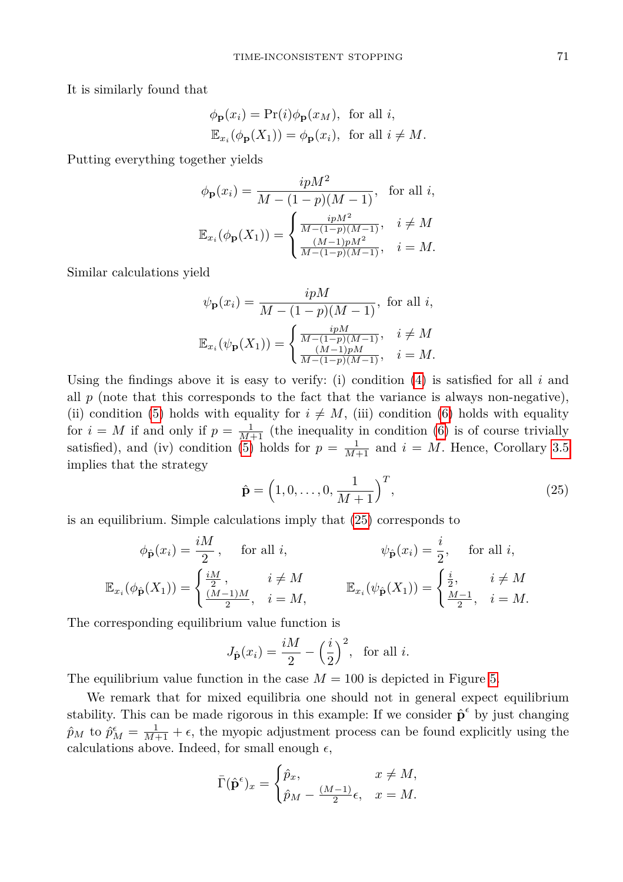It is similarly found that

$$
\phi_{\mathbf{p}}(x_i) = \Pr(i)\phi_{\mathbf{p}}(x_M), \text{ for all } i,
$$
  

$$
\mathbb{E}_{x_i}(\phi_{\mathbf{p}}(X_1)) = \phi_{\mathbf{p}}(x_i), \text{ for all } i \neq M.
$$

Putting everything together yields

$$
\phi_{\mathbf{p}}(x_i) = \frac{ipM^2}{M - (1 - p)(M - 1)}, \text{ for all } i,
$$

$$
\mathbb{E}_{x_i}(\phi_{\mathbf{p}}(X_1)) = \begin{cases} \frac{ipM^2}{M - (1 - p)(M - 1)}, & i \neq M \\ \frac{(M - 1)pM^2}{M - (1 - p)(M - 1)}, & i = M. \end{cases}
$$

Similar calculations yield

$$
\psi_{\mathbf{p}}(x_i) = \frac{ipM}{M - (1 - p)(M - 1)}, \text{ for all } i,
$$
  

$$
\mathbb{E}_{x_i}(\psi_{\mathbf{p}}(X_1)) = \begin{cases} \frac{ipM}{M - (1 - p)(M - 1)}, & i \neq M \\ \frac{(M - 1)pM}{M - (1 - p)(M - 1)}, & i = M. \end{cases}
$$

Using the findings above it is easy to verify: (i) condition [\(4\)](#page-6-1) is satisfied for all *i* and all  $p$  (note that this corresponds to the fact that the variance is always non-negative), (ii) condition [\(5\)](#page-6-2) holds with equality for  $i \neq M$ , (iii) condition [\(6\)](#page-6-3) holds with equality for  $i = M$  if and only if  $p = \frac{1}{M+1}$  (the inequality in condition [\(6\)](#page-6-3) is of course trivially satisfied), and (iv) condition [\(5\)](#page-6-2) holds for  $p = \frac{1}{M+1}$  and  $i = M$ . Hence, Corollary [3.5](#page-7-3) implies that the strategy

<span id="page-18-0"></span>
$$
\hat{\mathbf{p}} = (1, 0, \dots, 0, \frac{1}{M+1})^T,
$$
\n(25)

is an equilibrium. Simple calculations imply that [\(25\)](#page-18-0) corresponds to

$$
\phi_{\hat{\mathbf{p}}}(x_i) = \frac{iM}{2}, \quad \text{for all } i, \qquad \psi_{\hat{\mathbf{p}}}(x_i) = \frac{i}{2}, \quad \text{for all } i,
$$

$$
\mathbb{E}_{x_i}(\phi_{\hat{\mathbf{p}}}(X_1)) = \begin{cases} \frac{iM}{2}, & i \neq M \\ \frac{(M-1)M}{2}, & i = M, \end{cases} \qquad \mathbb{E}_{x_i}(\psi_{\hat{\mathbf{p}}}(X_1)) = \begin{cases} \frac{i}{2}, & i \neq M \\ \frac{M-1}{2}, & i = M. \end{cases}
$$

The corresponding equilibrium value function is

$$
J_{\hat{\mathbf{p}}}(x_i) = \frac{iM}{2} - \left(\frac{i}{2}\right)^2, \text{ for all } i.
$$

The equilibrium value function in the case  $M = 100$  is depicted in Figure [5.](#page-18-1)

<span id="page-18-1"></span>We remark that for mixed equilibria one should not in general expect equilibrium stability. This can be made rigorous in this example: If we consider  $\hat{\mathbf{p}}^{\epsilon}$  by just changing  $\hat{p}_M$  to  $\hat{p}_M^{\epsilon} = \frac{1}{M+1} + \epsilon$ , the myopic adjustment process can be found explicitly using the calculations above. Indeed, for small enough  $\epsilon,$ 

$$
\bar{\Gamma}(\hat{\mathbf{p}}^{\epsilon})_x = \begin{cases} \hat{p}_x, & x \neq M, \\ \hat{p}_M - \frac{(M-1)}{2} \epsilon, & x = M. \end{cases}
$$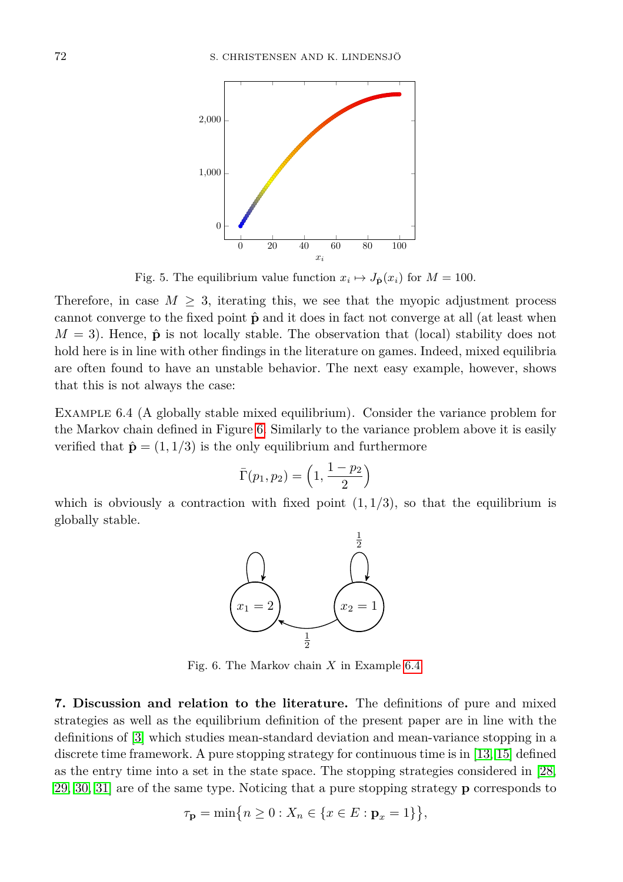

Fig. 5. The equilibrium value function  $x_i \mapsto J_{\hat{\mathbf{p}}}(x_i)$  for  $M = 100$ .

Therefore, in case  $M \geq 3$ , iterating this, we see that the myopic adjustment process cannot converge to the fixed point  $\hat{\mathbf{p}}$  and it does in fact not converge at all (at least when  $M = 3$ ). Hence,  $\hat{\bf p}$  is not locally stable. The observation that (local) stability does not hold here is in line with other findings in the literature on games. Indeed, mixed equilibria are often found to have an unstable behavior. The next easy example, however, shows that this is not always the case:

<span id="page-19-2"></span>Example 6.4 (A globally stable mixed equilibrium). Consider the variance problem for the Markov chain defined in Figure [6.](#page-19-1) Similarly to the variance problem above it is easily verified that  $\hat{\mathbf{p}} = (1, 1/3)$  is the only equilibrium and furthermore

$$
\bar{\Gamma}(p_1, p_2) = \left(1, \frac{1-p_2}{2}\right)
$$

<span id="page-19-1"></span>which is obviously a contraction with fixed point  $(1, 1/3)$ , so that the equilibrium is globally stable.



Fig. 6. The Markov chain *X* in Example [6.4.](#page-19-2)

<span id="page-19-0"></span>**7. Discussion and relation to the literature.** The definitions of pure and mixed strategies as well as the equilibrium definition of the present paper are in line with the definitions of [\[3\]](#page-21-1) which studies mean-standard deviation and mean-variance stopping in a discrete time framework. A pure stopping strategy for continuous time is in [\[13,](#page-22-0) [15\]](#page-22-1) defined as the entry time into a set in the state space. The stopping strategies considered in [\[28,](#page-22-7) [29,](#page-22-12) [30,](#page-22-10) [31\]](#page-22-9) are of the same type. Noticing that a pure stopping strategy **p** corresponds to

$$
\tau_{\mathbf{p}} = \min\big\{n \ge 0 : X_n \in \{x \in E : \mathbf{p}_x = 1\}\big\},\
$$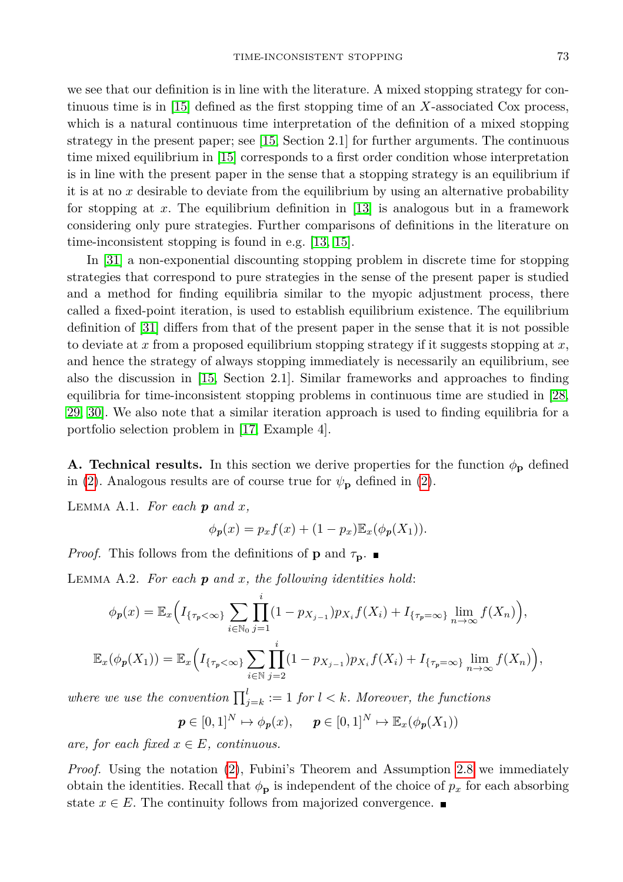we see that our definition is in line with the literature. A mixed stopping strategy for continuous time is in [\[15\]](#page-22-1) defined as the first stopping time of an *X*-associated Cox process, which is a natural continuous time interpretation of the definition of a mixed stopping strategy in the present paper; see [\[15,](#page-22-1) Section 2.1] for further arguments. The continuous time mixed equilibrium in [\[15\]](#page-22-1) corresponds to a first order condition whose interpretation is in line with the present paper in the sense that a stopping strategy is an equilibrium if it is at no *x* desirable to deviate from the equilibrium by using an alternative probability for stopping at *x*. The equilibrium definition in [\[13\]](#page-22-0) is analogous but in a framework considering only pure strategies. Further comparisons of definitions in the literature on time-inconsistent stopping is found in e.g. [\[13,](#page-22-0) [15\]](#page-22-1).

In [\[31\]](#page-22-9) a non-exponential discounting stopping problem in discrete time for stopping strategies that correspond to pure strategies in the sense of the present paper is studied and a method for finding equilibria similar to the myopic adjustment process, there called a fixed-point iteration, is used to establish equilibrium existence. The equilibrium definition of [\[31\]](#page-22-9) differs from that of the present paper in the sense that it is not possible to deviate at *x* from a proposed equilibrium stopping strategy if it suggests stopping at *x*, and hence the strategy of always stopping immediately is necessarily an equilibrium, see also the discussion in [\[15,](#page-22-1) Section 2.1]. Similar frameworks and approaches to finding equilibria for time-inconsistent stopping problems in continuous time are studied in [\[28,](#page-22-7) [29,](#page-22-12) [30\]](#page-22-10). We also note that a similar iteration approach is used to finding equilibria for a portfolio selection problem in [\[17,](#page-22-22) Example 4].

**A. Technical results.** In this section we derive properties for the function  $\phi_{\bf p}$  defined in [\(2\)](#page-4-3). Analogous results are of course true for  $\psi_{\mathbf{p}}$  defined in (2).

<span id="page-20-0"></span>LEMMA A.1. For each  $p$  and  $x$ ,

$$
\phi_p(x) = p_x f(x) + (1 - p_x) \mathbb{E}_x(\phi_p(X_1)).
$$

*Proof.* This follows from the definitions of **p** and  $\tau_p$ .

<span id="page-20-2"></span>Lemma A.2. *For each p and x, the following identities hold*:

$$
\phi_p(x) = \mathbb{E}_x \Big( I_{\{\tau_p < \infty\}} \sum_{i \in \mathbb{N}_0} \prod_{j=1}^i (1 - p_{X_{j-1}}) p_{X_i} f(X_i) + I_{\{\tau_p = \infty\}} \lim_{n \to \infty} f(X_n) \Big),
$$
\n
$$
\mathbb{E}_x(\phi_p(X_1)) = \mathbb{E}_x \Big( I_{\{\tau_p < \infty\}} \sum_{i \in \mathbb{N}} \prod_{j=2}^i (1 - p_{X_{j-1}}) p_{X_i} f(X_i) + I_{\{\tau_p = \infty\}} \lim_{n \to \infty} f(X_n) \Big),
$$

*where we use the convention*  $\prod_{j=k}^{l}$  := 1 *for l* < *k. Moreover, the functions* 

 $p \in [0,1]^N \mapsto \phi_p(x)$ ,  $p \in [0,1]^N \mapsto \mathbb{E}_x(\phi_p(X_1))$ 

*are, for each fixed*  $x \in E$ *, continuous.* 

<span id="page-20-1"></span>*Proof.* Using the notation [\(2\)](#page-4-3), Fubini's Theorem and Assumption [2.8](#page-4-2) we immediately obtain the identities. Recall that  $\phi_{\bf p}$  is independent of the choice of  $p_x$  for each absorbing state  $x \in E$ . The continuity follows from majorized convergence.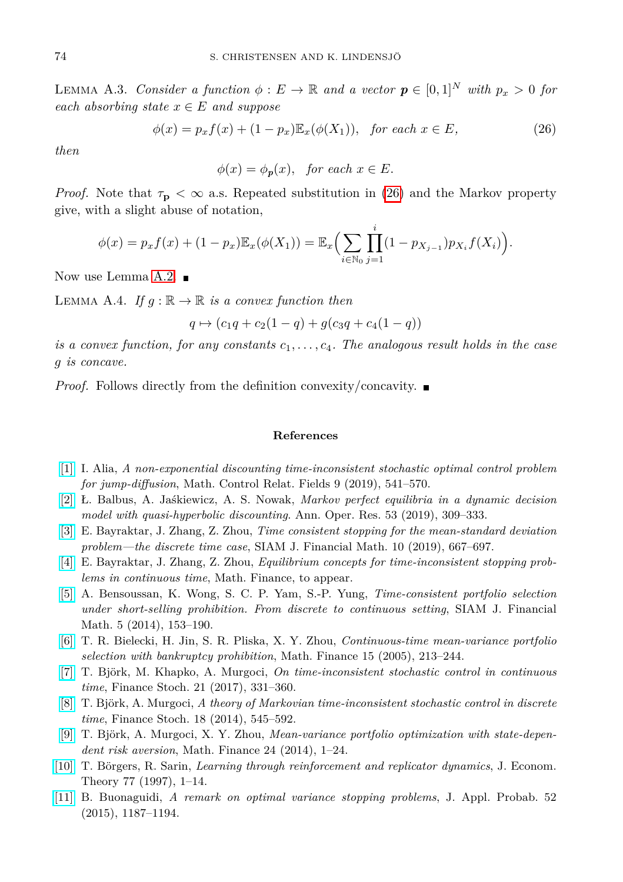LEMMA A.3. *Consider a function*  $\phi : E \to \mathbb{R}$  *and a vector*  $p \in [0,1]^N$  *with*  $p_x > 0$  *for*  $\mathbf{a}$ *each absorbing state*  $x \in E$  *and suppose* 

$$
\phi(x) = p_x f(x) + (1 - p_x) \mathbb{E}_x(\phi(X_1)), \quad \text{for each } x \in E,
$$
\n
$$
(26)
$$

*then*

<span id="page-21-12"></span> $\phi(x) = \phi_p(x)$ , *for each*  $x \in E$ .

*Proof.* Note that  $\tau_{\bf p} < \infty$  a.s. Repeated substitution in [\(26\)](#page-21-12) and the Markov property give, with a slight abuse of notation,

$$
\phi(x) = p_x f(x) + (1 - p_x) \mathbb{E}_x(\phi(X_1)) = \mathbb{E}_x \Big( \sum_{i \in \mathbb{N}_0} \prod_{j=1}^i (1 - p_{X_{j-1}}) p_{X_i} f(X_i) \Big).
$$

Now use Lemma [A.2.](#page-20-2)  $\blacksquare$ 

<span id="page-21-9"></span>LEMMA A.4. *If*  $g : \mathbb{R} \to \mathbb{R}$  *is a convex function then* 

$$
q \mapsto (c_1q + c_2(1-q) + g(c_3q + c_4(1-q))
$$

*is a convex function, for any constants*  $c_1, \ldots, c_4$ . The analogous result holds in the case *g is concave.*

*Proof.* Follows directly from the definition convexity/concavity. ■

## **References**

- <span id="page-21-7"></span>[\[1\]](http://dx.doi.org/10.3934/mcrf.2019025) I. Alia, *A non-exponential discounting time-inconsistent stochastic optimal control problem for jump-diffusion*, Math. Control Relat. Fields 9 (2019), 541–570.
- <span id="page-21-8"></span>[\[2\]](http://dx.doi.org/10.1007/s10479-018-2778-2) Ł. Balbus, A. Jaśkiewicz, A. S. Nowak, *Markov perfect equilibria in a dynamic decision model with quasi-hyperbolic discounting*. Ann. Oper. Res. 53 (2019), 309–333.
- <span id="page-21-1"></span>[\[3\]](http://dx.doi.org/10.1137/18M1216432) E. Bayraktar, J. Zhang, Z. Zhou, *Time consistent stopping for the mean-standard deviation problem—the discrete time case*, SIAM J. Financial Math. 10 (2019), 667–697.
- <span id="page-21-6"></span>[\[4\]](http://dx.doi.org/10.1111/mafi.12293) E. Bayraktar, J. Zhang, Z. Zhou, *Equilibrium concepts for time-inconsistent stopping problems in continuous time*, Math. Finance, to appear.
- <span id="page-21-2"></span>[\[5\]](http://dx.doi.org/10.1137/130914139) A. Bensoussan, K. Wong, S. C. P. Yam, S.-P. Yung, *Time-consistent portfolio selection under short-selling prohibition. From discrete to continuous setting*, SIAM J. Financial Math. 5 (2014), 153–190.
- <span id="page-21-3"></span>[\[6\]](http://dx.doi.org/10.1111/j.0960-1627.2005.00218.x) T. R. Bielecki, H. Jin, S. R. Pliska, X. Y. Zhou, *Continuous-time mean-variance portfolio selection with bankruptcy prohibition*, Math. Finance 15 (2005), 213–244.
- <span id="page-21-5"></span>[\[7\]](http://dx.doi.org/10.1007/s00780-017-0327-5) T. Björk, M. Khapko, A. Murgoci, *On time-inconsistent stochastic control in continuous time*, Finance Stoch. 21 (2017), 331–360.
- <span id="page-21-0"></span>[\[8\]](http://dx.doi.org/10.1007/s00780-014-0234-y) T. Björk, A. Murgoci, *A theory of Markovian time-inconsistent stochastic control in discrete time*, Finance Stoch. 18 (2014), 545–592.
- <span id="page-21-4"></span>[\[9\]](http://dx.doi.org/10.1111/j.1467-9965.2011.00515.x) T. Björk, A. Murgoci, X. Y. Zhou, *Mean-variance portfolio optimization with state-dependent risk aversion*, Math. Finance 24 (2014), 1–24.
- <span id="page-21-10"></span>[\[10\]](http://dx.doi.org/10.1006/jeth.1997.2319) T. Börgers, R. Sarin, *Learning through reinforcement and replicator dynamics*, J. Econom. Theory 77 (1997), 1–14.
- <span id="page-21-11"></span>[\[11\]](http://dx.doi.org/10.1017/S0021900200113178) B. Buonaguidi, *A remark on optimal variance stopping problems*, J. Appl. Probab. 52 (2015), 1187–1194.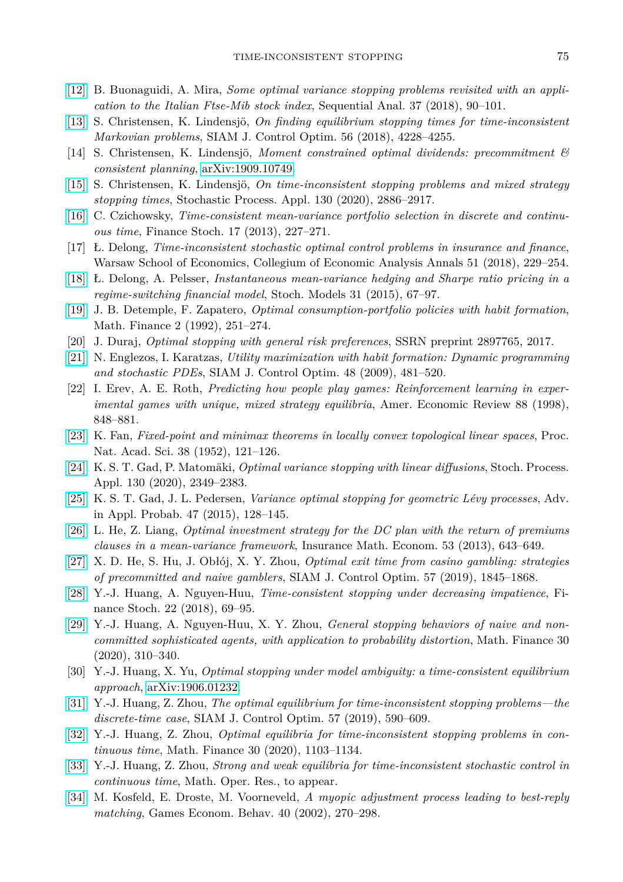- <span id="page-22-19"></span>[\[12\]](http://dx.doi.org/10.1080/07474946.2018.1427979) B. Buonaguidi, A. Mira, *Some optimal variance stopping problems revisited with an application to the Italian Ftse-Mib stock index*, Sequential Anal. 37 (2018), 90–101.
- <span id="page-22-0"></span>[\[13\]](http://dx.doi.org/10.1137/17M1153029) S. Christensen, K. Lindensjö, *On finding equilibrium stopping times for time-inconsistent Markovian problems*, SIAM J. Control Optim. 56 (2018), 4228–4255.
- <span id="page-22-14"></span>[14] S. Christensen, K. Lindensjö, *Moment constrained optimal dividends: precommitment & consistent planning*, [arXiv:1909.10749.](http://arxiv.org/abs/1909.10749)
- <span id="page-22-1"></span>[\[15\]](http://dx.doi.org/10.1016/j.spa.2019.08.010) S. Christensen, K. Lindensjö, *On time-inconsistent stopping problems and mixed strategy stopping times*, Stochastic Process. Appl. 130 (2020), 2886–2917.
- <span id="page-22-2"></span>[\[16\]](http://dx.doi.org/10.1007/s00780-012-0189-9) C. Czichowsky, *Time-consistent mean-variance portfolio selection in discrete and continuous time*, Finance Stoch. 17 (2013), 227–271.
- <span id="page-22-22"></span>[17] Ł. Delong, *Time-inconsistent stochastic optimal control problems in insurance and finance*, Warsaw School of Economics, Collegium of Economic Analysis Annals 51 (2018), 229–254.
- <span id="page-22-3"></span>[\[18\]](http://dx.doi.org/10.1080/15326349.2014.967531) Ł. Delong, A. Pelsser, *Instantaneous mean-variance hedging and Sharpe ratio pricing in a regime-switching financial model*, Stoch. Models 31 (2015), 67–97.
- <span id="page-22-5"></span>[\[19\]](http://dx.doi.org/10.1111/j.1467-9965.1992.tb00032.x) J. B. Detemple, F. Zapatero, *Optimal consumption-portfolio policies with habit formation*, Math. Finance 2 (1992), 251–274.
- <span id="page-22-13"></span>[20] J. Duraj, *Optimal stopping with general risk preferences*, SSRN preprint 2897765, 2017.
- <span id="page-22-6"></span>[\[21\]](http://dx.doi.org/10.1137/070686998) N. Englezos, I. Karatzas, *Utility maximization with habit formation: Dynamic programming and stochastic PDEs*, SIAM J. Control Optim. 48 (2009), 481–520.
- <span id="page-22-17"></span>[22] I. Erev, A. E. Roth, *Predicting how people play games: Reinforcement learning in experimental games with unique, mixed strategy equilibria*, Amer. Economic Review 88 (1998), 848–881.
- <span id="page-22-15"></span>[\[23\]](http://dx.doi.org/10.1073/pnas.38.2.121) K. Fan, *Fixed-point and minimax theorems in locally convex topological linear spaces*, Proc. Nat. Acad. Sci. 38 (1952), 121–126.
- <span id="page-22-20"></span>[\[24\]](http://dx.doi.org/10.1016/j.spa.2019.07.001) K. S. T. Gad, P. Matomäki, *Optimal variance stopping with linear diffusions*, Stoch. Process. Appl. 130 (2020), 2349–2383.
- <span id="page-22-21"></span>[\[25\]](http://dx.doi.org/10.1017/S0001867800007734) K. S. T. Gad, J. L. Pedersen, *Variance optimal stopping for geometric Lévy processes*, Adv. in Appl. Probab. 47 (2015), 128–145.
- <span id="page-22-4"></span>[\[26\]](http://dx.doi.org/10.1016/j.insmatheco.2013.09.002) L. He, Z. Liang, *Optimal investment strategy for the DC plan with the return of premiums clauses in a mean-variance framework*, Insurance Math. Econom. 53 (2013), 643–649.
- <span id="page-22-11"></span>[\[27\]](http://dx.doi.org/10.1137/18M1174738) X. D. He, S. Hu, J. Obłój, X. Y. Zhou, *Optimal exit time from casino gambling: strategies of precommitted and naive gamblers*, SIAM J. Control Optim. 57 (2019), 1845–1868.
- <span id="page-22-7"></span>[\[28\]](http://dx.doi.org/10.1007/s00780-017-0350-6) Y.-J. Huang, A. Nguyen-Huu, *Time-consistent stopping under decreasing impatience*, Finance Stoch. 22 (2018), 69–95.
- <span id="page-22-12"></span>[\[29\]](http://dx.doi.org/10.1111/mafi.12224) Y.-J. Huang, A. Nguyen-Huu, X. Y. Zhou, *General stopping behaviors of naive and noncommitted sophisticated agents, with application to probability distortion*, Math. Finance 30 (2020), 310–340.
- <span id="page-22-10"></span>[30] Y.-J. Huang, X. Yu, *Optimal stopping under model ambiguity: a time-consistent equilibrium approach*, [arXiv:1906.01232.](http://arxiv.org/abs/1906.01232)
- <span id="page-22-9"></span>[\[31\]](http://dx.doi.org/10.1137/17M1139187) Y.-J. Huang, Z. Zhou, *The optimal equilibrium for time-inconsistent stopping problems—the discrete-time case*, SIAM J. Control Optim. 57 (2019), 590–609.
- <span id="page-22-8"></span>[\[32\]](http://dx.doi.org/10.1111/mafi.12229) Y.-J. Huang, Z. Zhou, *Optimal equilibria for time-inconsistent stopping problems in continuous time*, Math. Finance 30 (2020), 1103–1134.
- <span id="page-22-16"></span>[\[33\]](http://dx.doi.org/10.1287/moor.2020.1066) Y.-J. Huang, Z. Zhou, *Strong and weak equilibria for time-inconsistent stochastic control in continuous time*, Math. Oper. Res., to appear.
- <span id="page-22-18"></span>[\[34\]](http://dx.doi.org/10.1016/S0899-8256(02)00007-6) M. Kosfeld, E. Droste, M. Voorneveld, *A myopic adjustment process leading to best-reply matching*, Games Econom. Behav. 40 (2002), 270–298.